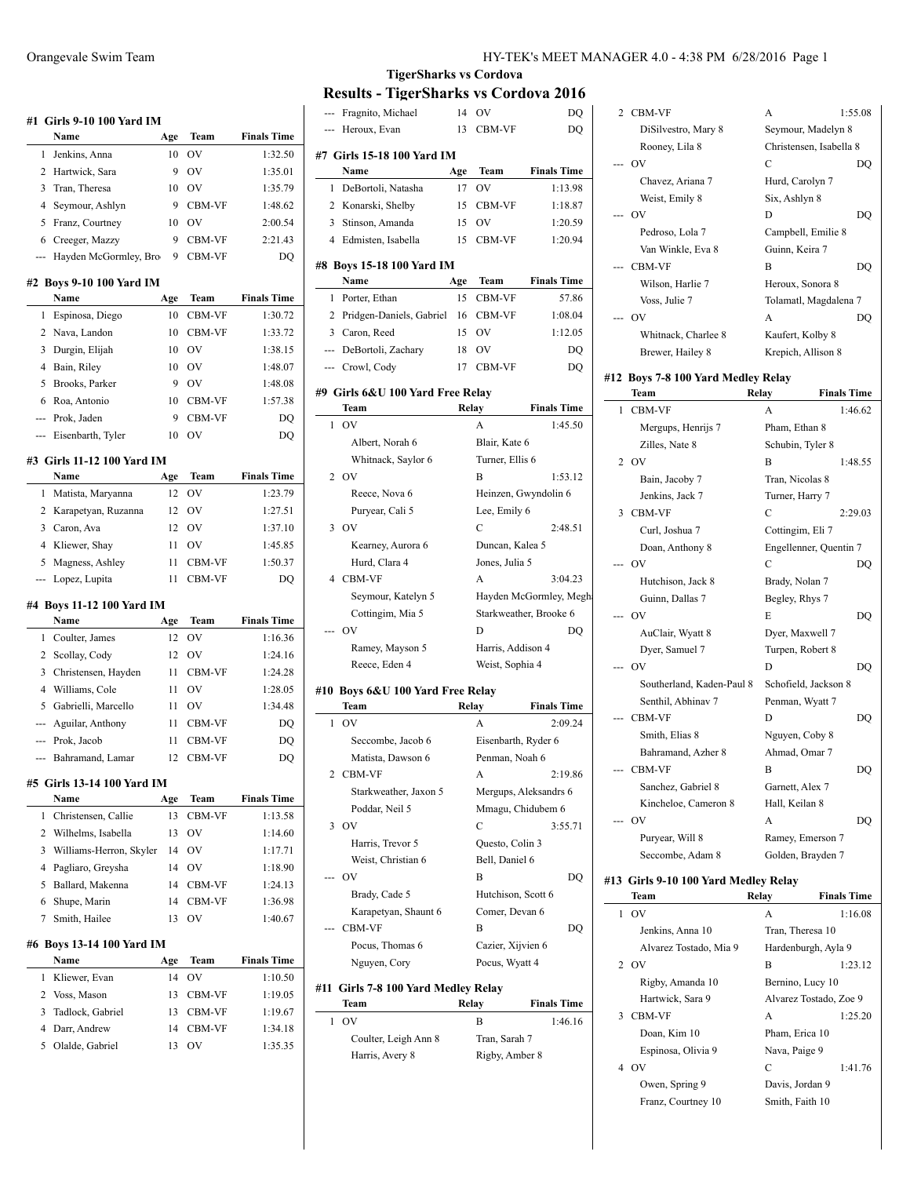|                     | Name                                    | Age      | Team             | <b>Finals Time</b>                                                                                                                      |
|---------------------|-----------------------------------------|----------|------------------|-----------------------------------------------------------------------------------------------------------------------------------------|
| 1                   | Jenkins, Anna<br>2 Hartwick, Sara       | 10       | OV               | 1:32.50<br>1:35.01                                                                                                                      |
|                     |                                         | 9        | OV               |                                                                                                                                         |
| 3<br>4              | Tran. Theresa                           | 10<br>9  | OV               | 1:35.79                                                                                                                                 |
|                     | Seymour, Ashlyn                         |          | CBM-VF           | 1:48.62                                                                                                                                 |
| 5                   | Franz, Courtney                         | 10       | <b>OV</b>        | 2:00.54                                                                                                                                 |
| 6<br>---            | Creeger, Mazzy<br>Hayden McGormley, Bro | 9<br>9   | CBM-VF<br>CBM-VF | 2:21.43<br>DO                                                                                                                           |
|                     |                                         |          |                  |                                                                                                                                         |
|                     | #2 Boys 9-10 100 Yard IM<br>Name        | Age      | Team             | <b>Finals Time</b>                                                                                                                      |
| 1                   | Espinosa, Diego                         | 10       | CBM-VF           | 1:30.72                                                                                                                                 |
| 2                   | Nava, Landon                            | 10       | CBM-VF           | 1:33.72                                                                                                                                 |
| 3                   | Durgin, Elijah                          | 10       | OV               | 1:38.15                                                                                                                                 |
| 4                   | Bain, Riley                             | 10       | OV               | 1:48.07                                                                                                                                 |
| 5                   | Brooks, Parker                          | 9        | <b>OV</b>        | 1:48.08                                                                                                                                 |
| 6                   | Roa, Antonio                            | 10       | CBM-VF           | 1:57.38                                                                                                                                 |
|                     | --- Prok, Jaden                         | 9        | <b>CBM-VF</b>    | DQ                                                                                                                                      |
| ---                 | Eisenbarth, Tyler                       | 10       | OV               | DQ                                                                                                                                      |
|                     | #3 Girls 11-12 100 Yard IM              |          |                  |                                                                                                                                         |
|                     | Name                                    | Age      | Team             | <b>Finals Time</b>                                                                                                                      |
| 1                   | Matista, Maryanna                       | 12       | OV               | 1:23.79                                                                                                                                 |
| 2                   | Karapetyan, Ruzanna                     | 12       | OV               | 1:27.51                                                                                                                                 |
| 3                   | Caron, Ava                              | 12       | <b>OV</b>        | 1:37.10                                                                                                                                 |
| 4                   | Kliewer, Shay                           | 11       | OV               | 1:45.85                                                                                                                                 |
| 5                   | Magness, Ashley                         | 11       | CBM-VF           | 1:50.37                                                                                                                                 |
| ---                 | Lopez, Lupita                           | 11       | <b>CBM-VF</b>    | DQ                                                                                                                                      |
|                     | #4 Boys 11-12 100 Yard IM               |          |                  |                                                                                                                                         |
|                     | Name                                    | Age      | Team             | <b>Finals Time</b>                                                                                                                      |
| 1                   | Coulter, James                          | 12       | OV               | 1:16.36                                                                                                                                 |
| 2                   | Scollay, Cody                           | 12       | OV               | 1:24.16                                                                                                                                 |
| 3                   | Christensen, Hayden                     | 11       | CBM-VF           |                                                                                                                                         |
|                     |                                         |          |                  |                                                                                                                                         |
|                     | 4 Williams, Cole                        | 11       | <b>OV</b>        |                                                                                                                                         |
| 5                   | Gabrielli, Marcello                     | 11       | OV               |                                                                                                                                         |
| ---                 | Aguilar, Anthony                        | 11       | CBM-VF           |                                                                                                                                         |
| ---                 | Prok, Jacob                             | 11       | CBM-VF           |                                                                                                                                         |
| ---                 | Bahramand, Lamar                        | 12       | CBM-VF           |                                                                                                                                         |
|                     | #5 Girls 13-14 100 Yard IM              |          |                  |                                                                                                                                         |
|                     | Name                                    | Age      | Team             |                                                                                                                                         |
| 1                   | Christensen, Callie                     | 13       | CBM-VF           |                                                                                                                                         |
|                     | 2 Wilhelms, Isabella                    | 13       | OV               |                                                                                                                                         |
| 3                   | Williams-Herron, Skyler                 | 14       | <b>OV</b>        |                                                                                                                                         |
| 4                   | Pagliaro, Greysha                       | 14       | OV               |                                                                                                                                         |
| 5                   | Ballard, Makenna                        | 14       | <b>CBM-VF</b>    |                                                                                                                                         |
| 6                   | Shupe, Marin                            | 14       | <b>CBM-VF</b>    | 1:24.28<br>1:28.05<br>1:34.48<br>DQ<br>DQ<br>DQ<br><b>Finals Time</b><br>1:13.58<br>1:14.60<br>1:17.71<br>1:18.90<br>1:24.13<br>1:36.98 |
| 7                   | Smith, Hailee                           | 13       | OV               | 1:40.67                                                                                                                                 |
|                     | #6 Boys 13-14 100 Yard IM               |          |                  |                                                                                                                                         |
|                     | Name                                    | Age      | Team             | <b>Finals Time</b>                                                                                                                      |
| 1                   | Kliewer, Evan                           | 14       | OV               | 1:10.50                                                                                                                                 |
|                     | 2 Voss, Mason                           | 13       | CBM-VF           |                                                                                                                                         |
| 3<br>$\overline{4}$ | Tadlock, Gabriel<br>Darr, Andrew        | 13<br>14 | CBM-VF<br>CBM-VF | 1:19.05<br>1:19.67<br>1:34.18                                                                                                           |

|     |                                              |     |                     | HY-TEK's MEET MAN       |
|-----|----------------------------------------------|-----|---------------------|-------------------------|
|     | <b>TigerSharks vs Cordova</b>                |     |                     |                         |
|     | <b>Results - TigerSharks vs Cordova 2016</b> |     |                     |                         |
| --- | Fragnito, Michael                            |     | 14 OV               | DQ                      |
|     | --- Heroux, Evan                             | 13  | CBM-VF              | DO                      |
|     | #7  Girls 15-18 100 Yard IM                  |     |                     |                         |
|     | Name                                         | Age | Team                | <b>Finals Time</b>      |
| 1   | DeBortoli, Natasha                           | 17  | OV                  | 1:13.98                 |
|     | 2 Konarski, Shelby                           | 15  | CBM-VF              | 1:18.87                 |
|     | 3 Stinson, Amanda                            | 15  | OV                  | 1:20.59                 |
|     | 4 Edmisten, Isabella                         | 15  | CBM-VF              | 1:20.94                 |
|     |                                              |     |                     |                         |
|     | #8 Boys 15-18 100 Yard IM                    |     |                     |                         |
|     | Name                                         | Age | Team                | <b>Finals Time</b>      |
| 1   | Porter, Ethan                                | 15  | CBM-VF              | 57.86                   |
|     | 2 Pridgen-Daniels, Gabriel<br>3 Caron, Reed  | 15  | 16 CBM-VF<br>- OV   | 1:08.04                 |
|     | --- DeBortoli, Zachary                       | 18  | OV                  | 1:12.05<br>DQ           |
|     |                                              | 17  | CBM-VF              | DQ                      |
|     | --- Crowl, Cody                              |     |                     |                         |
|     | #9 Girls 6&U 100 Yard Free Relay             |     |                     |                         |
|     | Team                                         |     | Relay               | <b>Finals Time</b>      |
| 1   | OV                                           |     | A                   | 1:45.50                 |
|     | Albert, Norah 6                              |     | Blair, Kate 6       |                         |
|     | Whitnack, Saylor 6                           |     | Turner, Ellis 6     |                         |
|     | 2 OV                                         |     | B                   | 1:53.12                 |
|     | Reece, Nova 6                                |     |                     | Heinzen, Gwyndolin 6    |
|     | Puryear, Cali 5                              |     | Lee, Emily 6        |                         |
|     | $3$ OV                                       |     | C                   | 2:48.51                 |
|     | Kearney, Aurora 6                            |     | Duncan, Kalea 5     |                         |
|     | Hurd, Clara 4                                |     | Jones, Julia 5      |                         |
| 4   | <b>CBM-VF</b>                                |     | A                   | 3:04.23                 |
|     | Seymour, Katelyn 5                           |     |                     | Hayden McGormley, Megha |
|     | Cottingim, Mia 5                             |     |                     | Starkweather, Brooke 6  |
|     | OV                                           |     | D                   | DQ                      |
|     | Ramey, Mayson 5                              |     | Harris, Addison 4   |                         |
|     | Reece, Eden 4                                |     | Weist, Sophia 4     |                         |
|     | #10 Boys 6&U 100 Yard Free Relay             |     |                     |                         |
|     | Team                                         |     | Relay               | <b>Finals Time</b>      |
|     | 1 OV                                         |     | А                   | 2:09.24                 |
|     | Seccombe, Jacob 6                            |     | Eisenbarth, Ryder 6 |                         |
|     | Matista, Dawson 6                            |     | Penman, Noah 6      |                         |
| 2   | CBM-VF                                       |     | А                   | 2:19.86                 |
|     | Starkweather, Jaxon 5                        |     |                     | Mergups, Aleksandrs 6   |
|     | Poddar, Neil 5                               |     | Mmagu, Chidubem 6   |                         |
| 3   | OV                                           |     | С                   | 3:55.71                 |
|     | Harris, Trevor 5                             |     | Questo, Colin 3     |                         |
|     | Weist, Christian 6                           |     | Bell, Daniel 6      |                         |
|     | OV                                           |     | R                   | DO                      |

 $\frac{1}{2}$ 

 $\overline{\phantom{0}}$ 

 $\frac{1}{2}$ 

 $\frac{1}{2}$ 

|     | Harris, Trevor 5     | Questo, Colin 3    |    |
|-----|----------------------|--------------------|----|
|     | Weist, Christian 6   | Bell, Daniel 6     |    |
| --- | OV                   | в                  | DO |
|     | Brady, Cade 5        | Hutchison, Scott 6 |    |
|     | Karapetyan, Shaunt 6 | Comer, Devan 6     |    |
| --- | <b>CBM-VF</b>        | в                  | DΟ |
|     | Pocus, Thomas 6      | Cazier, Xijvien 6  |    |
|     | Nguyen, Cory         | Pocus, Wyatt 4     |    |

#### **#11 Girls 7-8 100 Yard Medley Relay**

| Team                 | Relay          | <b>Finals Time</b> |
|----------------------|----------------|--------------------|
| 1. OV                | в              | 1:46.16            |
| Coulter, Leigh Ann 8 | Tran, Sarah 7  |                    |
| Harris, Avery 8      | Rigby, Amber 8 |                    |

| $\mathbf{2}$ | CBM-VF                             | A                       | 1:55.08            |
|--------------|------------------------------------|-------------------------|--------------------|
|              | DiSilvestro, Mary 8                | Seymour, Madelyn 8      |                    |
|              | Rooney, Lila 8                     | Christensen, Isabella 8 |                    |
|              | OV                                 | $\overline{C}$          | DQ                 |
|              | Chavez, Ariana 7                   | Hurd, Carolyn 7         |                    |
|              | Weist, Emily 8                     | Six, Ashlyn 8           |                    |
| ---          | OV                                 | D                       | DQ                 |
|              | Pedroso, Lola 7                    | Campbell, Emilie 8      |                    |
|              | Van Winkle, Eva 8                  | Guinn, Keira 7          |                    |
| ---          | <b>CBM-VF</b>                      | B                       | DO                 |
|              | Wilson, Harlie 7                   | Heroux, Sonora 8        |                    |
|              | Voss, Julie 7                      | Tolamatl, Magdalena 7   |                    |
| ---          | OV                                 | A                       | DQ                 |
|              | Whitnack, Charlee 8                | Kaufert, Kolby 8        |                    |
|              | Brewer, Hailey 8                   | Krepich, Allison 8      |                    |
|              | #12 Boys 7-8 100 Yard Medley Relay |                         |                    |
|              | Team                               | Relay                   | <b>Finals Time</b> |
| 1            | CBM-VF                             | A                       | 1:46.62            |
|              | Mergups, Henrijs 7                 | Pham, Ethan 8           |                    |
|              | Zilles, Nate 8                     | Schubin, Tyler 8        |                    |
| 2            | OV                                 | B                       | 1:48.55            |
|              | Bain, Jacoby 7                     | Tran, Nicolas 8         |                    |
|              | Jenkins, Jack 7                    | Turner, Harry 7         |                    |
| 3            | <b>CBM-VF</b>                      | $\overline{C}$          | 2:29.03            |
|              | Curl, Joshua 7                     | Cottingim, Eli 7        |                    |
|              | Doan, Anthony 8                    | Engellenner, Quentin 7  |                    |
| $-$          | OV                                 | C                       | DO                 |
|              | Hutchison, Jack 8                  | Brady, Nolan 7          |                    |
|              | Guinn, Dallas 7                    | Begley, Rhys 7          |                    |
|              | --- OV                             | E                       | DQ                 |
|              | AuClair, Wyatt 8                   | Dyer, Maxwell 7         |                    |
|              | Dyer, Samuel 7                     | Turpen, Robert 8        |                    |
|              | OV                                 | D                       | DQ                 |
|              | Southerland, Kaden-Paul 8          | Schofield, Jackson 8    |                    |
|              | Senthil, Abhinav 7                 | Penman, Wyatt 7         |                    |
|              | <b>CBM-VF</b>                      | D                       | DQ                 |
|              | Smith, Elias 8                     | Nguyen, Coby 8          |                    |
|              | Bahramand, Azher 8                 | Ahmad, Omar 7           |                    |
|              | <b>CBM-VF</b>                      | B                       | DQ                 |
|              | Sanchez, Gabriel 8                 | Garnett, Alex 7         |                    |

# Kincheloe, Cameron 8 Hall, Keilan 8 --- OV A DQ Puryear, Will 8 Ramey, Emerson 7 Seccombe, Adam 8 Golden, Brayden 7

## **#13 Girls 9-10 100 Yard Medley Relay Team Relay Finals Time** 1 OV A 1:16.08 Jenkins, Anna 10 Tran, Theresa 10 Alvarez Tostado, Mia 9 Hardenburgh, Ayla 9

| - OV               | в                      | 1:23.12 |
|--------------------|------------------------|---------|
| Rigby, Amanda 10   | Bernino, Lucy 10       |         |
| Hartwick, Sara 9   | Alvarez Tostado, Zoe 9 |         |
| <b>CBM-VF</b>      | A                      | 1:25.20 |
| Doan, Kim 10       | Pham, Erica 10         |         |
| Espinosa, Olivia 9 | Nava, Paige 9          |         |
| OV                 | C                      | 1:41.76 |
| Owen, Spring 9     | Davis, Jordan 9        |         |
| Franz, Courtney 10 | Smith, Faith 10        |         |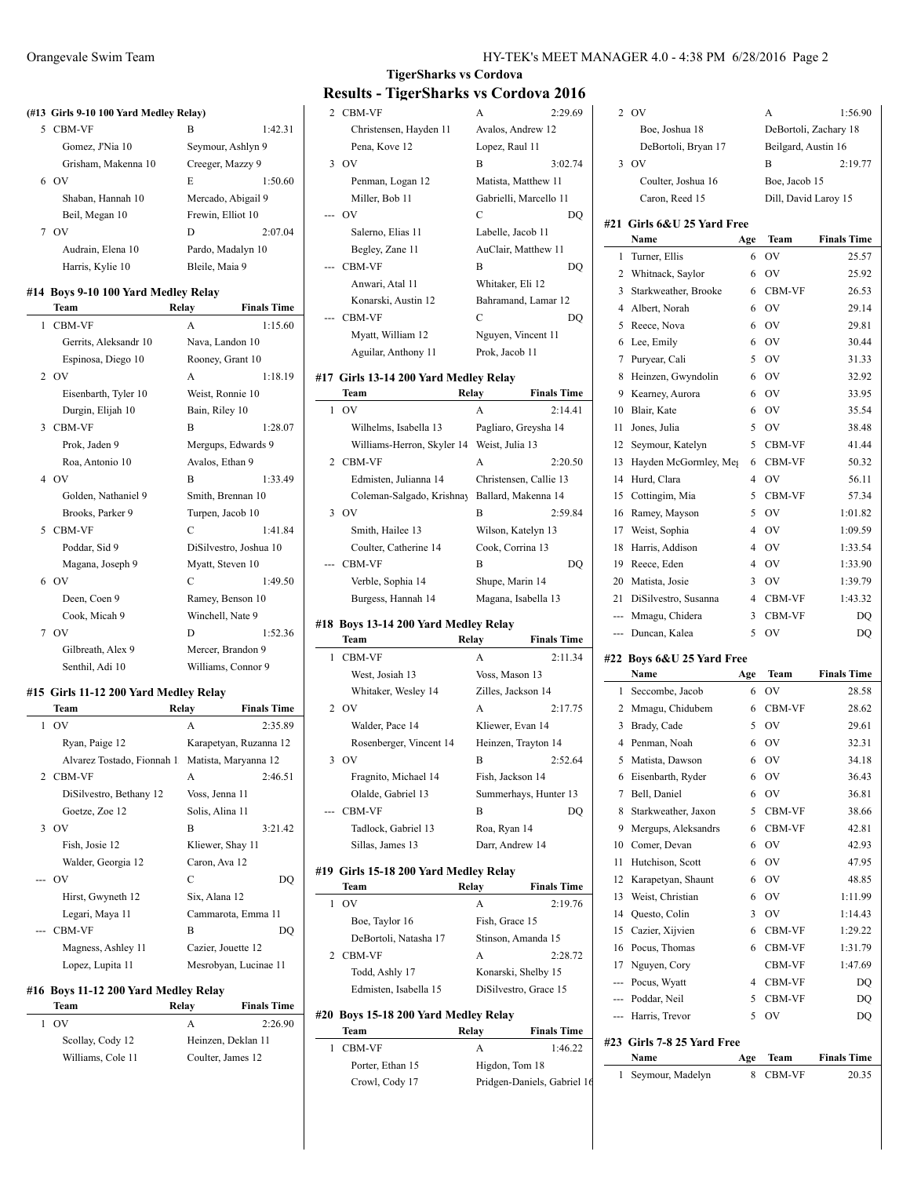#### **(#13 Girls 9-10 100 Yard Medley Relay)**

| <b>CBM-VF</b>       | В                  | 1:42.31 |
|---------------------|--------------------|---------|
| Gomez, J'Nia 10     | Seymour, Ashlyn 9  |         |
| Grisham, Makenna 10 | Creeger, Mazzy 9   |         |
| OV                  | E                  | 1:50.60 |
| Shaban, Hannah 10   | Mercado, Abigail 9 |         |
| Beil, Megan 10      | Frewin, Elliot 10  |         |
| OV                  | D                  | 2:07.04 |
| Audrain, Elena 10   | Pardo, Madalyn 10  |         |
| Harris, Kylie 10    | Bleile, Maia 9     |         |
|                     |                    |         |

#### **#14 Boys 9-10 100 Yard Medley Relay**

|   | Team                  | Relay            | <b>Finals Time</b>     |
|---|-----------------------|------------------|------------------------|
| 1 | <b>CBM-VF</b>         | A                | 1:15.60                |
|   | Gerrits, Aleksandr 10 | Nava, Landon 10  |                        |
|   | Espinosa, Diego 10    |                  | Rooney, Grant 10       |
|   | 2 OV                  | A                | 1:18.19                |
|   | Eisenbarth, Tyler 10  |                  | Weist, Ronnie 10       |
|   | Durgin, Elijah 10     | Bain, Riley 10   |                        |
| 3 | <b>CBM-VF</b>         | B                | 1:28.07                |
|   | Prok, Jaden 9         |                  | Mergups, Edwards 9     |
|   | Roa, Antonio 10       | Avalos, Ethan 9  |                        |
|   | 4 OV                  | $\overline{B}$   | 1:33.49                |
|   | Golden, Nathaniel 9   |                  | Smith, Brennan 10      |
|   | Brooks, Parker 9      | Turpen, Jacob 10 |                        |
| 5 | <b>CBM-VF</b>         | C                | 1:41.84                |
|   | Poddar, Sid 9         |                  | DiSilvestro, Joshua 10 |
|   | Magana, Joseph 9      | Myatt, Steven 10 |                        |
| 6 | OV                    | C                | 1:49.50                |
|   | Deen, Coen 9          |                  | Ramey, Benson 10       |
|   | Cook, Micah 9         | Winchell, Nate 9 |                        |
|   | 7 OV                  | D                | 1:52.36                |
|   | Gilbreath, Alex 9     |                  | Mercer, Brandon 9      |
|   | Senthil, Adi 10       |                  | Williams, Connor 9     |
|   |                       |                  |                        |

## **#15 Girls 11-12 200 Yard Medley Relay**

| Team                       | Relay           | <b>Finals Time</b>     |
|----------------------------|-----------------|------------------------|
| 1.0V                       | A               | 2:35.89                |
| Ryan, Paige 12             |                 | Karapetyan, Ruzanna 12 |
| Alvarez Tostado, Fionnah 1 |                 | Matista, Maryanna 12   |
| 2 CBM-VF                   | A               | 2:46.51                |
| DiSilvestro, Bethany 12    | Voss, Jenna 11  |                        |
| Goetze, Zoe 12             | Solis, Alina 11 |                        |
| 3.0V                       | B               | 3:21.42                |
| Fish, Josie 12             |                 | Kliewer, Shay 11       |
| Walder, Georgia 12         | Caron, Ava 12   |                        |
| --- OV                     | C               | DO                     |
| Hirst, Gwyneth 12          | Six, Alana 12   |                        |
| Legari, Maya 11            |                 | Cammarota, Emma 11     |
| <b>CBM-VF</b>              | B               | DO                     |
| Magness, Ashley 11         |                 | Cazier, Jouette 12     |
| Lopez, Lupita 11           |                 | Mesrobyan, Lucinae 11  |

## **#16 Boys 11-12 200 Yard Medley Relay**

| Team              | Relav              | <b>Finals Time</b> |
|-------------------|--------------------|--------------------|
| - OV              | А                  | 2:26.90            |
| Scollay, Cody 12  | Heinzen, Deklan 11 |                    |
| Williams, Cole 11 | Coulter, James 12  |                    |

# **TigerSharks vs Cordova Results - TigerSharks vs Cordova 2016**

| 2 CBM-VF               | A                      | 2:29.69 |
|------------------------|------------------------|---------|
| Christensen, Hayden 11 | Avalos, Andrew 12      |         |
| Pena, Kove 12          | Lopez, Raul 11         |         |
| 3 OV                   | B                      | 3:02.74 |
| Penman, Logan 12       | Matista, Matthew 11    |         |
| Miller, Bob 11         | Gabrielli, Marcello 11 |         |
| --- OV                 | C                      |         |
| Salerno, Elias 11      | Labelle, Jacob 11      |         |
| Begley, Zane 11        | AuClair, Matthew 11    |         |
| --- CBM-VF             | B                      |         |
| Anwari, Atal 11        | Whitaker, Eli 12       |         |
| Konarski, Austin 12    | Bahramand, Lamar 12    |         |
| <b>CBM-VF</b>          | C                      |         |
| Myatt, William 12      | Nguyen, Vincent 11     |         |
| Aguilar, Anthony 11    | Prok, Jacob 11         |         |
|                        |                        |         |

## **#17 Girls 13-14 200 Yard Medley Relay**

| Team                       | Relay           | <b>Finals Time</b>     |
|----------------------------|-----------------|------------------------|
| $1$ OV                     | A               | 2:14.41                |
| Wilhelms, Isabella 13      |                 | Pagliaro, Greysha 14   |
| Williams-Herron, Skyler 14 | Weist, Julia 13 |                        |
| 2 CBM-VF                   | A               | 2:20.50                |
| Edmisten, Julianna 14      |                 | Christensen, Callie 13 |
| Coleman-Salgado, Krishnay  |                 | Ballard, Makenna 14    |
| 3 OV                       | B               | 2:59.84                |
| Smith, Hailee 13           |                 | Wilson, Katelyn 13     |
| Coulter, Catherine 14      |                 | Cook, Corrina 13       |
| --- CBM-VF                 | B               | DO                     |
| Verble, Sophia 14          |                 | Shupe, Marin 14        |
| Burgess, Hannah 14         |                 | Magana, Isabella 13    |

#### **#18 Boys 13-14 200 Yard Medley Relay**

|   | Team                    | Relay            | <b>Finals Time</b>    |
|---|-------------------------|------------------|-----------------------|
| 1 | <b>CBM-VF</b>           | A                | 2:11.34               |
|   | West, Josiah 13         | Voss, Mason 13   |                       |
|   | Whitaker, Wesley 14     |                  | Zilles, Jackson 14    |
|   | 2 OV                    | A                | 2:17.75               |
|   | Walder, Pace 14         | Kliewer, Evan 14 |                       |
|   | Rosenberger, Vincent 14 |                  | Heinzen, Trayton 14   |
|   | 3.0V                    | B                | 2:52.64               |
|   | Fragnito, Michael 14    | Fish, Jackson 14 |                       |
|   | Olalde, Gabriel 13      |                  | Summerhays, Hunter 13 |
|   | --- CBM-VF              | B                | DO.                   |
|   | Tadlock, Gabriel 13     | Roa, Ryan 14     |                       |
|   | Sillas, James 13        | Darr, Andrew 14  |                       |

#### **#19 Girls 15-18 200 Yard Medley Relay**

 $\overline{a}$ 

| Team                  | Relay          | <b>Finals Time</b>    |
|-----------------------|----------------|-----------------------|
| OV                    | A              | 2:19.76               |
| Boe, Taylor 16        | Fish, Grace 15 |                       |
| DeBortoli, Natasha 17 |                | Stinson, Amanda 15    |
| <b>CBM-VF</b>         | A              | 2:28.72               |
| Todd, Ashly 17        |                | Konarski, Shelby 15   |
| Edmisten, Isabella 15 |                | DiSilvestro, Grace 15 |

## **#20 Boys 15-18 200 Yard Medley Relay**

| Team             | Relav          | <b>Finals Time</b>          |
|------------------|----------------|-----------------------------|
| 1 CBM-VF         | А              | 1:46.22                     |
| Porter, Ethan 15 | Higdon, Tom 18 |                             |
| Crowl, Cody 17   |                | Pridgen-Daniels, Gabriel 16 |

| 2      | OV                                |                | А                     | 1:56.90            |
|--------|-----------------------------------|----------------|-----------------------|--------------------|
|        | Boe, Joshua 18                    |                | DeBortoli, Zachary 18 |                    |
|        | DeBortoli, Bryan 17               |                | Beilgard, Austin 16   |                    |
| 3      | OV                                |                | B                     | 2:19.77            |
|        | Coulter, Joshua 16                |                | Boe, Jacob 15         |                    |
|        | Caron, Reed 15                    |                | Dill, David Laroy 15  |                    |
|        |                                   |                |                       |                    |
| #21    | Girls 6&U 25 Yard Free            |                |                       |                    |
|        | Name                              | Age            | Team                  | <b>Finals Time</b> |
| 1      | Turner, Ellis                     | 6              | OV                    | 25.57              |
| 2      | Whitnack, Saylor                  | 6              | OV                    | 25.92              |
| 3      | Starkweather, Brooke              | 6              | <b>CBM-VF</b>         | 26.53              |
| 4      | Albert, Norah                     | 6              | <b>OV</b>             | 29.14              |
| 5      | Reece, Nova                       | 6              | <b>OV</b>             | 29.81              |
| 6      | Lee, Emily                        | 6              | <b>OV</b>             | 30.44              |
| 7      | Puryear, Cali                     | 5              | <b>OV</b>             | 31.33              |
| 8      | Heinzen, Gwyndolin                | 6              | OV                    | 32.92              |
| 9      | Kearney, Aurora                   | 6              | <b>OV</b>             | 33.95              |
| 10     | Blair, Kate                       | 6              | OV                    | 35.54              |
| 11     | Jones, Julia                      | 5              | <b>OV</b>             | 38.48              |
| 12     | Seymour, Katelyn                  | 5              | CBM-VF                | 41.44              |
| 13     | Hayden McGormley, Meg             | 6              | <b>CBM-VF</b>         | 50.32              |
| 14     | Hurd, Clara                       | 4              | <b>OV</b>             | 56.11              |
| 15     | Cottingim, Mia                    | 5              | <b>CBM-VF</b>         | 57.34              |
| 16     | Ramey, Mayson                     | 5              | <b>OV</b>             | 1:01.82            |
| 17     | Weist, Sophia                     | 4              | <b>OV</b>             | 1:09.59            |
| 18     | Harris, Addison                   | $\overline{4}$ | <b>OV</b>             | 1:33.54            |
| 19     | Reece, Eden                       | 4              | <b>OV</b>             | 1:33.90            |
| 20     | Matista, Josie                    | 3              | OV                    | 1:39.79            |
| 21     | DiSilvestro, Susanna              | 4              | CBM-VF                | 1:43.32            |
| ---    | Mmagu, Chidera                    | 3              | CBM-VF                | DQ                 |
| ---    | Duncan, Kalea                     | 5              | OV                    | DQ                 |
|        |                                   |                |                       |                    |
| #22    | Boys 6&U 25 Yard Free<br>Name     |                |                       |                    |
| 1      | Seccombe, Jacob                   | Age<br>6       | Team<br>OV            | <b>Finals Time</b> |
|        |                                   |                |                       | 28.58              |
| 2      | Mmagu, Chidubem                   | 6              | CBM-VF                | 28.62              |
| 3<br>4 | Brady, Cade                       | 5              | <b>OV</b>             | 29.61              |
|        | Penman, Noah                      | 6              | OV<br>OV              | 32.31              |
| 5      | Matista, Dawson                   | 6              |                       | 34.18              |
| 6      | Eisenbarth, Ryder<br>Bell, Daniel | 6              | ov                    | 36.43              |
| 7      |                                   | 6              | OV                    | 36.81              |
| 8      | Starkweather, Jaxon               | 5              | CBM-VF                | 38.66              |
| 9      | Mergups, Aleksandrs               | 6              | CBM-VF                | 42.81              |
| 10     | Comer, Devan                      | 6              | OV                    | 42.93              |
| 11     | Hutchison, Scott                  | 6              | OV                    | 47.95              |
| 12     | Karapetyan, Shaunt                | 6              | OV                    | 48.85              |
| 13     | Weist, Christian                  | 6              | OV                    | 1:11.99            |
| 14     | Questo, Colin                     | 3              | OV                    | 1:14.43            |
| 15     | Cazier, Xijvien                   | 6              | CBM-VF                | 1:29.22            |
| 16     | Pocus, Thomas                     | 6              | CBM-VF                | 1:31.79            |
| 17     | Nguyen, Cory                      |                | CBM-VF                | 1:47.69            |
| ---    | Pocus, Wyatt                      | 4              | CBM-VF                | DQ                 |
| ---    | Poddar, Neil                      | 5              | CBM-VF                | DQ                 |

## **#23 Girls 7-8 25 Yard Free**

| <b>Name</b>        | Age Team | <b>Finals Time</b> |
|--------------------|----------|--------------------|
| 1 Seymour, Madelyn | 8 CBM-VF | 20.35              |

--- Harris, Trevor 5 OV DQ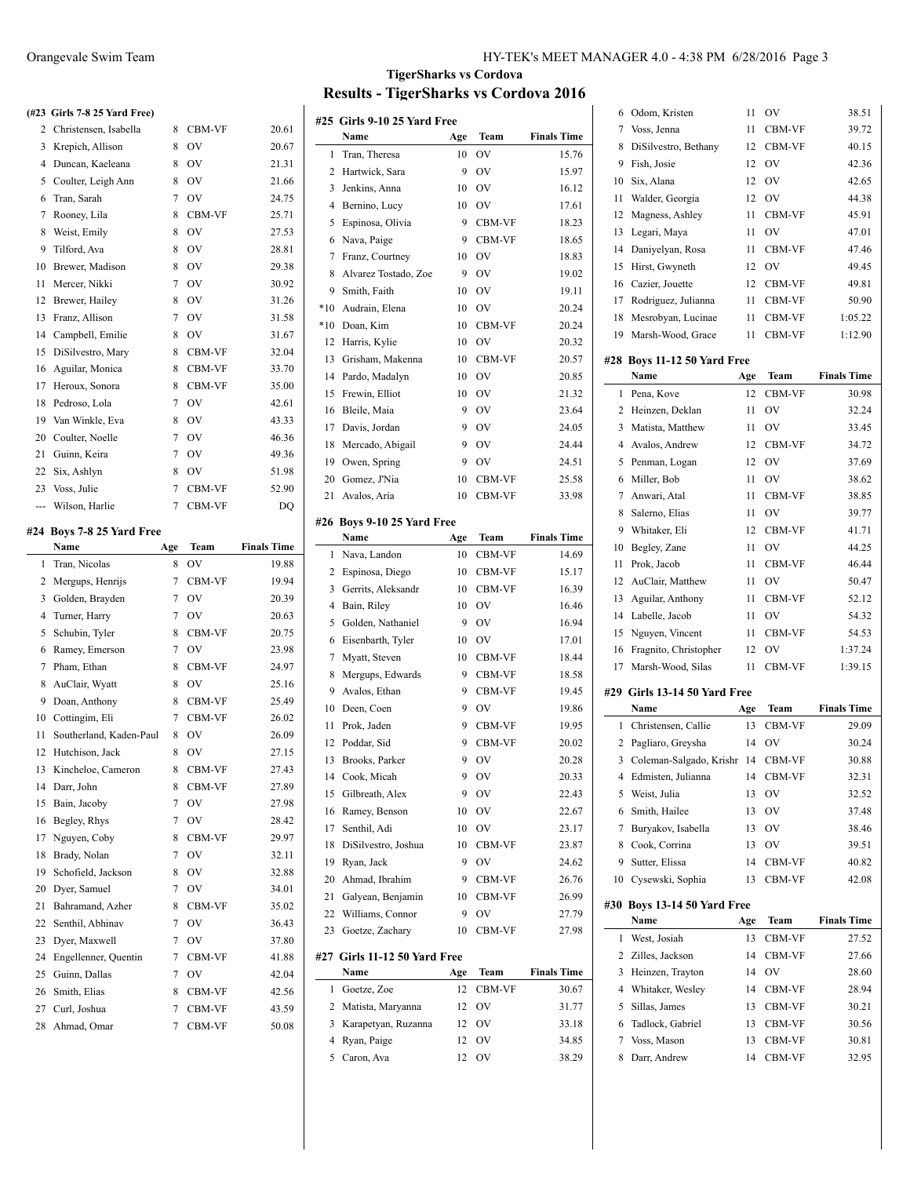# **(#23 Girls 7-8 25 Yard Free)**

|                | 2 Christensen, Isabella   | 8              | CBM-VF        | 20.61              |
|----------------|---------------------------|----------------|---------------|--------------------|
| 3              | Krepich, Allison          | 8              | OV            | 20.67              |
| 4              | Duncan, Kaeleana          | 8              | OV            | 21.31              |
| 5              | Coulter, Leigh Ann        | 8              | <b>OV</b>     | 21.66              |
| 6              | Tran, Sarah               | $\tau$         | OV            | 24.75              |
| 7              | Rooney, Lila              | 8              | CBM-VF        | 25.71              |
| 8              | Weist, Emily              | 8              | OV            | 27.53              |
| 9              | Tilford, Ava              | 8              | OV            | 28.81              |
| 10             | Brewer, Madison           | 8              | OV            | 29.38              |
| 11             | Mercer, Nikki             | $\overline{7}$ | OV            | 30.92              |
| 12             | Brewer, Hailey            | 8              | OV            | 31.26              |
| 13             | Franz, Allison            | $\overline{7}$ | OV            | 31.58              |
| 14             | Campbell, Emilie          | 8              | OV            | 31.67              |
| 15             | DiSilvestro, Mary         | 8              | CBM-VF        | 32.04              |
| 16             | Aguilar, Monica           | 8              | CBM-VF        | 33.70              |
| 17             | Heroux, Sonora            | 8              | CBM-VF        | 35.00              |
| 18             | Pedroso, Lola             | 7              | OV            | 42.61              |
| 19             | Van Winkle, Eva           | 8              | OV            | 43.33              |
| 20             | Coulter, Noelle           | 7              | <b>OV</b>     | 46.36              |
| 21             | Guinn, Keira              | $\overline{7}$ | OV            | 49.36              |
| 22             | Six, Ashlyn               | 8              | <b>OV</b>     | 51.98              |
| 23             | Voss, Julie               | 7              | CBM-VF        | 52.90              |
| ---            | Wilson, Harlie            | 7              | CBM-VF        | DQ                 |
|                | #24 Boys 7-8 25 Yard Free |                |               |                    |
|                | Name                      | Age            | Team          | <b>Finals Time</b> |
| 1              | Tran, Nicolas             | 8              | OV            | 19.88              |
| $\overline{c}$ | Mergups, Henrijs          | $\overline{7}$ | CBM-VF        | 19.94              |
| 3              | Golden, Brayden           | 7              | OV            | 20.39              |
| $\overline{4}$ | Turner, Harry             | $\overline{7}$ | OV            | 20.63              |
| 5              | Schubin, Tyler            | 8              | CBM-VF        | 20.75              |
| 6              | Ramey, Emerson            | 7              | <b>OV</b>     | 23.98              |
| 7              | Pham, Ethan               | 8              | <b>CBM-VF</b> | 24.97              |
| 8              | AuClair, Wyatt            | 8              | <b>OV</b>     | 25.16              |
| 9              | Doan, Anthony             | 8              | CBM-VF        | 25.49              |
| 10             | Cottingim, Eli            | $\overline{7}$ | CBM-VF        | 26.02              |
| 11             | Southerland, Kaden-Paul   | 8              | <b>OV</b>     | 26.09              |
| 12             | Hutchison, Jack           | 8              | <b>OV</b>     | 27.15              |
| 13             | Kincheloe, Cameron        | 8              | CBM-VF        | 27.43              |
| 14             | Darr, John                | 8              | CBM-VF        | 27.89              |
| 15             | Bain, Jacoby              | $\overline{7}$ | OV            | 27.98              |

16 Begley, Rhys 7 OV 28.42 Nguyen, Coby 8 CBM-VF 29.97 18 Brady, Nolan 7 OV 32.11 Schofield, Jackson 8 OV 32.88 Dyer, Samuel 7 OV 34.01 21 Bahramand, Azher 8 CBM-VF 35.02 22 Senthil, Abhinav 7 OV 36.43 23 Dyer, Maxwell 7 OV 37.80 24 Engellenner, Quentin 7 CBM-VF 41.88 25 Guinn, Dallas 7 OV 42.04 26 Smith, Elias 8 CBM-VF 42.56 27 Curl, Joshua 7 CBM-VF 43.59 Ahmad, Omar 7 CBM-VF 50.08

# **TigerSharks vs Cordova Results - TigerSharks vs Cordova 2016**

 $\overline{a}$ 

L,

 $\overline{a}$ 

|       | #25 Girls 9-10 25 Yard Free  |     |        |                    |
|-------|------------------------------|-----|--------|--------------------|
|       | Name                         | Age | Team   | <b>Finals Time</b> |
| 1     | Tran, Theresa                | 10  | OV     | 15.76              |
| 2     | Hartwick, Sara               | 9   | OV     | 15.97              |
| 3     | Jenkins, Anna                | 10  | OV     | 16.12              |
| 4     | Bernino, Lucy                | 10  | OV     | 17.61              |
| 5     | Espinosa, Olivia             | 9   | CBM-VF | 18.23              |
| 6     | Nava, Paige                  | 9   | CBM-VF | 18.65              |
| 7     | Franz, Courtney              | 10  | OV     | 18.83              |
| 8     | Alvarez Tostado, Zoe         | 9   | OV     | 19.02              |
| 9     | Smith, Faith                 | 10  | OV     | 19.11              |
| $*10$ | Audrain, Elena               | 10  | OV     | 20.24              |
| $*10$ | Doan, Kim                    | 10  | CBM-VF | 20.24              |
| 12    | Harris, Kylie                | 10  | OV     | 20.32              |
| 13    | Grisham, Makenna             | 10  | CBM-VF | 20.57              |
| 14    | Pardo, Madalyn               | 10  | OV     | 20.85              |
| 15    | Frewin, Elliot               | 10  | OV     | 21.32              |
| 16    | Bleile, Maia                 | 9   | OV     | 23.64              |
| 17    | Davis, Jordan                | 9   | OV     | 24.05              |
| 18    | Mercado, Abigail             | 9   | OV     | 24.44              |
| 19    | Owen, Spring                 | 9   | OV     | 24.51              |
| 20    | Gomez, J'Nia                 | 10  | CBM-VF | 25.58              |
| 21    | Avalos, Aria                 | 10  | CBM-VF | 33.98              |
|       |                              |     |        |                    |
|       | #26 Boys 9-10 25 Yard Free   |     |        |                    |
|       | Name                         | Age | Team   | <b>Finals Time</b> |
| 1     | Nava, Landon                 | 10  | CBM-VF | 14.69              |
| 2     | Espinosa, Diego              | 10  | CBM-VF | 15.17              |
| 3     | Gerrits, Aleksandr           | 10  | CBM-VF | 16.39              |
| 4     | Bain, Riley                  | 10  | OV     | 16.46              |
| 5     | Golden, Nathaniel            | 9   | OV     | 16.94              |
| 6     | Eisenbarth, Tyler            | 10  | OV     | 17.01              |
| 7     | Myatt, Steven                | 10  | CBM-VF | 18.44              |
| 8     | Mergups, Edwards             | 9   | CBM-VF | 18.58              |
| 9     | Avalos, Ethan                | 9   | CBM-VF | 19.45              |
| 10    | Deen, Coen                   | 9   | OV     | 19.86              |
| 11    | Prok, Jaden                  | 9   | CBM-VF | 19.95              |
| 12    | Poddar, Sid                  | 9   | CBM-VF | 20.02              |
| 13    | Brooks, Parker               | 9   | OV     | 20.28              |
| 14    | Cook, Micah                  | 9   | OV     | 20.33              |
| 15    | Gilbreath, Alex              | 9   | OV     | 22.43              |
| 16    | Ramey, Benson                | 10  | OV     | 22.67              |
| 17    | Senthil, Adi                 | 10  | OV     | 23.17              |
| 18    | DiSilvestro, Joshua          | 10  | CBM-VF | 23.87              |
| 19    | Ryan, Jack                   | 9   | OV     | 24.62              |
| 20    | Ahmad, Ibrahim               | 9   | CBM-VF | 26.76              |
| 21    | Galyean, Benjamin            | 10  | CBM-VF | 26.99              |
| 22    | Williams, Connor             | 9   | OV     | 27.79              |
| 23    | Goetze, Zachary              | 10  | CBM-VF | 27.98              |
|       | #27 Girls 11-12 50 Yard Free |     |        |                    |
|       | Name                         | Age | Team   | <b>Finals Time</b> |
| 1     | Goetze, Zoe                  | 12  | CBM-VF | 30.67              |
| 2     | Matista, Maryanna            | 12  | OV     | 31.77              |
| 3     | Karapetyan, Ruzanna          | 12  | OV     | 33.18              |
| 4     | Ryan, Paige                  | 12  | OV     | 34.85              |
| 5     | Caron, Ava                   | 12  | OV     | 38.29              |
|       |                              |     |        |                    |

| 6  | Odom, Kristen                | 11  | OV     | 38.51              |
|----|------------------------------|-----|--------|--------------------|
| 7  | Voss, Jenna                  | 11  | CBM-VF | 39.72              |
| 8  | DiSilvestro, Bethany         | 12  | CBM-VF | 40.15              |
| 9  | Fish, Josie                  | 12  | OV     | 42.36              |
| 10 | Six, Alana                   | 12  | OV     | 42.65              |
| 11 | Walder, Georgia              | 12  | OV     | 44.38              |
| 12 | Magness, Ashley              | 11  | CBM-VF | 45.91              |
| 13 | Legari, Maya                 | 11  | OV     | 47.01              |
| 14 | Daniyelyan, Rosa             | 11  | CBM-VF | 47.46              |
| 15 | Hirst, Gwyneth               | 12  | OV     | 49.45              |
| 16 | Cazier, Jouette              | 12  | CBM-VF | 49.81              |
| 17 | Rodriguez, Julianna          | 11  | CBM-VF | 50.90              |
| 18 | Mesrobyan, Lucinae           | 11  | CBM-VF | 1:05.22            |
| 19 | Marsh-Wood, Grace            | 11  | CBM-VF | 1:12.90            |
|    |                              |     |        |                    |
|    | #28 Boys 11-12 50 Yard Free  |     |        |                    |
|    | Name                         | Age | Team   | <b>Finals Time</b> |
| 1  | Pena, Kove                   | 12  | CBM-VF | 30.98              |
| 2  | Heinzen, Deklan              | 11  | OV     | 32.24              |
| 3  | Matista, Matthew             | 11  | OV     | 33.45              |
| 4  | Avalos, Andrew               | 12  | CBM-VF | 34.72              |
| 5  | Penman, Logan                | 12  | OV     | 37.69              |
| 6  | Miller, Bob                  | 11  | OV     | 38.62              |
| 7  | Anwari, Atal                 | 11  | CBM-VF | 38.85              |
| 8  | Salerno, Elias               | 11  | OV     | 39.77              |
| 9  | Whitaker, Eli                | 12  | CBM-VF | 41.71              |
| 10 | Begley, Zane                 | 11  | OV     | 44.25              |
| 11 | Prok, Jacob                  | 11  | CBM-VF | 46.44              |
| 12 | AuClair, Matthew             | 11  | OV     | 50.47              |
| 13 | Aguilar, Anthony             | 11  | CBM-VF | 52.12              |
| 14 | Labelle, Jacob               | 11  | OV     | 54.32              |
| 15 | Nguyen, Vincent              | 11  | CBM-VF | 54.53              |
| 16 | Fragnito, Christopher        | 12  | OV     | 1:37.24            |
| 17 | Marsh-Wood, Silas            | 11  | CBM-VF | 1:39.15            |
|    |                              |     |        |                    |
|    | #29 Girls 13-14 50 Yard Free |     |        |                    |
|    | Name                         | Age | Team   | <b>Finals Time</b> |
| 1  | Christensen, Callie          | 13  | CBM-VF | 29.09              |
| 2  | Pagliaro, Greysha            | 14  | OV     | 30.24              |
| 3  | Coleman-Salgado, Krishr 14   |     | CBM-VF | 30.88              |
| 4  | Edmisten, Julianna           | 14  | CBM-VF | 32.31              |
| 5  | Weist, Julia                 | 13  | OV     | 32.52              |
| 6  | Smith, Hailee                | 13  | OV     | 37.48              |
| 7  | Buryakov, Isabella           | 13  | OV     | 38.46              |
| 8  | Cook, Corrina                | 13  | OV     | 39.51              |
| 9  | Sutter, Elissa               | 14  | CBM-VF | 40.82              |
| 10 | Cysewski, Sophia             | 13  | CBM-VF | 42.08              |
|    | #30 Boys 13-14 50 Yard Free  |     |        |                    |
|    | Name                         | Age | Team   | <b>Finals Time</b> |
| 1  | West, Josiah                 | 13  | CBM-VF | 27.52              |
| 2  | Zilles, Jackson              | 14  | CBM-VF | 27.66              |
| 3  | Heinzen, Trayton             | 14  | OV     | 28.60              |
| 4  | Whitaker, Wesley             |     |        |                    |
|    |                              | 14  | CBM-VF | 28.94              |
| 5  | Sillas, James                | 13  | CBM-VF | 30.21              |
| 6  | Tadlock, Gabriel             | 13  | CBM-VF | 30.56              |
| 7  | Voss, Mason                  | 13  | CBM-VF | 30.81              |
| 8  |                              |     |        |                    |
|    | Darr, Andrew                 | 14  | CBM-VF | 32.95              |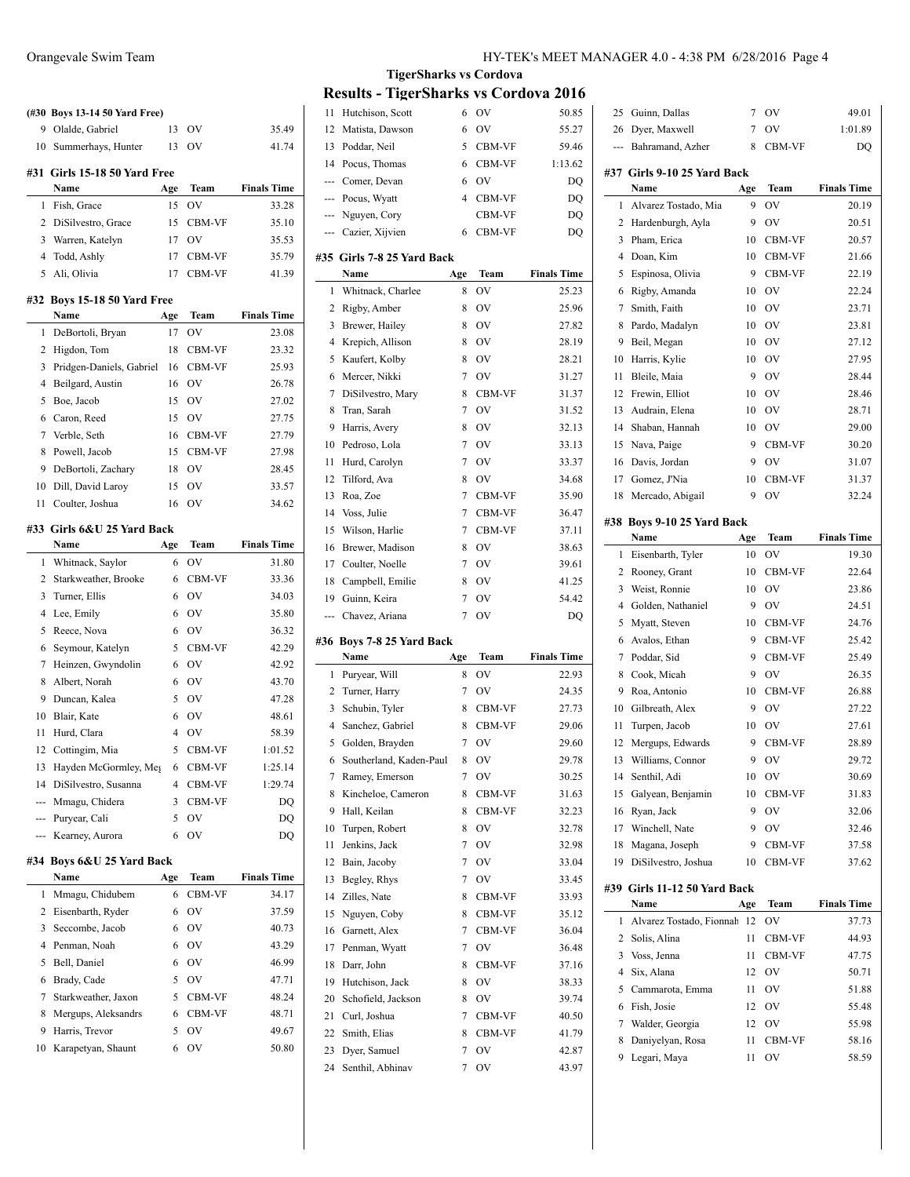|     | (#30 Boys 13-14 50 Yard Free) |          |               |                             |
|-----|-------------------------------|----------|---------------|-----------------------------|
| 9   | Olalde, Gabriel               | 13       | OV            | 35.49                       |
| 10  | Summerhays, Hunter            | 13       | OV            | 41.74                       |
| #31 | Girls 15-18 50 Yard Free      |          |               |                             |
|     | Name                          | Age      | Team          | <b>Finals Time</b>          |
| 1   | Fish, Grace                   | 15       | OV            | 33.28                       |
| 2   | DiSilvestro, Grace            | 15       | <b>CBM-VF</b> | 35.10                       |
| 3   | Warren, Katelyn               | 17       | <b>OV</b>     | 35.53                       |
| 4   | Todd, Ashly                   | 17       | <b>CBM-VF</b> | 35.79                       |
| 5   | Ali, Olivia                   | 17       | CBM-VF        | 41.39                       |
|     |                               |          |               |                             |
| #32 | Boys 15-18 50 Yard Free       |          |               |                             |
|     | Name                          | Age      | Team          | <b>Finals Time</b>          |
| 1   | DeBortoli, Bryan              | 17       | OV            | 23.08                       |
| 2   | Higdon, Tom                   | 18       | CBM-VF        | 23.32                       |
| 3   | Pridgen-Daniels, Gabriel      | 16       | <b>CBM-VF</b> | 25.93                       |
| 4   | Beilgard, Austin              | 16       | OV            | 26.78                       |
| 5   | Boe, Jacob                    | 15       | OV            | 27.02                       |
| 6   | Caron, Reed                   | 15       | <b>OV</b>     | 27.75                       |
| 7   | Verble, Seth                  | 16       | <b>CBM-VF</b> | 27.79                       |
| 8   | Powell, Jacob                 | 15       | <b>CBM-VF</b> | 27.98                       |
| 9   | DeBortoli, Zachary            | 18       | <b>OV</b>     | 28.45                       |
| 10  | Dill, David Laroy             | 15       | OV            | 33.57                       |
| 11  | Coulter, Joshua               | 16       | OV            | 34.62                       |
|     |                               |          |               |                             |
|     | #33  Girls 6&U 25 Yard Back   |          |               |                             |
| 1   | Name                          | Age<br>6 | Team<br>OV    | <b>Finals Time</b><br>31.80 |
| 2   | Whitnack, Saylor              |          |               |                             |
|     | Starkweather, Brooke          | 6        | <b>CBM-VF</b> | 33.36                       |
| 3   | Turner, Ellis                 | 6        | OV            | 34.03                       |
| 4   | Lee, Emily                    | 6        | <b>OV</b>     | 35.80                       |
| 5   | Reece, Nova                   | 6        | <b>OV</b>     | 36.32                       |
| 6   | Seymour, Katelyn              | 5        | <b>CBM-VF</b> | 42.29                       |
| 7   | Heinzen, Gwyndolin            | 6        | <b>OV</b>     | 42.92                       |
| 8   | Albert, Norah                 | 6        | OV            | 43.70                       |
| 9   | Duncan, Kalea                 | 5        | OV            | 47.28                       |
| 10  | Blair, Kate                   | 6        | <b>OV</b>     | 48.61                       |
| 11  | Hurd, Clara                   | 4        | <b>OV</b>     | 58.39                       |
| 12  | Cottingim, Mia                | 5        | <b>CBM-VF</b> | 1:01.52                     |
| 13  | Hayden McGormley, Meg         | 6        | CBM-VF        | 1:25.14                     |
| 14  | DiSilvestro, Susanna          | 4        | CBM-VF        | 1:29.74                     |
| --- | Mmagu, Chidera                | 3        | CBM-VF        | DQ                          |
| --- | Puryear, Cali                 | 5        | OV            | DQ                          |
| --- | Kearney, Aurora               | 6        | OV            | DQ                          |
| #34 | Boys 6&U 25 Yard Back         |          |               |                             |
|     | Name                          | Age      | Team          | <b>Finals Time</b>          |
| 1   | Mmagu, Chidubem               | 6        | CBM-VF        | 34.17                       |
| 2   | Eisenbarth, Ryder             | 6        | OV            | 37.59                       |
| 3   | Seccombe, Jacob               | 6        | OV            | 40.73                       |
| 4   | Penman, Noah                  | 6        | OV            | 43.29                       |
| 5   | Bell, Daniel                  | 6        | OV            | 46.99                       |
| 6   | Brady, Cade                   | 5        | OV            | 47.71                       |
| 7   | Starkweather, Jaxon           | 5        | CBM-VF        | 48.24                       |
|     |                               |          |               |                             |

8 Mergups, Aleksandrs 6 CBM-VF 48.71 Harris, Trevor 5 OV 49.67 Karapetyan, Shaunt 6 OV 50.80

# **TigerSharks vs Cordova Results - TigerSharks vs Cordova 2016**

 $\overline{\phantom{a}}$ 

 $\overline{\phantom{0}}$ 

| 11             | Hutchison, Scott                   | 6              | OV        | 50.85              |
|----------------|------------------------------------|----------------|-----------|--------------------|
| 12             | Matista, Dawson                    | 6              | OV        | 55.27              |
| 13             | Poddar, Neil                       | 5              | CBM-VF    | 59.46              |
| 14             | Pocus, Thomas                      | 6              | CBM-VF    | 1:13.62            |
| ---            | Comer, Devan                       | 6              | OV        | DQ                 |
|                | --- Pocus, Wyatt                   | 4              | CBM-VF    | DQ                 |
|                | --- Nguyen, Cory                   |                | CBM-VF    | DQ                 |
|                | --- Cazier, Xijvien                | 6              | CBM-VF    | DQ                 |
|                |                                    |                |           |                    |
|                | #35 Girls 7-8 25 Yard Back<br>Name | Age            | Team      | <b>Finals Time</b> |
| 1              | Whitnack, Charlee                  | 8              | OV        | 25.23              |
| 2              | Rigby, Amber                       | 8              | OV        | 25.96              |
| 3              | Brewer, Hailey                     | 8              | <b>OV</b> | 27.82              |
| $\overline{4}$ | Krepich, Allison                   | 8              | OV        | 28.19              |
| 5              | Kaufert, Kolby                     | 8              | OV        | 28.21              |
| 6              | Mercer, Nikki                      | 7              | <b>OV</b> | 31.27              |
| 7              | DiSilvestro, Mary                  | 8              | CBM-VF    | 31.37              |
| 8              | Tran, Sarah                        | 7              | <b>OV</b> | 31.52              |
| 9              | Harris, Avery                      | 8              | OV        | 32.13              |
| 10             | Pedroso, Lola                      | $\overline{7}$ | OV        | 33.13              |
| 11             | Hurd, Carolyn                      | $\overline{7}$ | OV        | 33.37              |
| 12             | Tilford, Ava                       | 8              | <b>OV</b> | 34.68              |
| 13             | Roa, Zoe                           | 7              | CBM-VF    | 35.90              |
| 14             | Voss, Julie                        | 7              | CBM-VF    | 36.47              |
| 15             | Wilson, Harlie                     | 7              | CBM-VF    | 37.11              |
| 16             | Brewer, Madison                    | 8              | OV        | 38.63              |
| 17             | Coulter, Noelle                    | 7              | OV        | 39.61              |
| 18             | Campbell, Emilie                   | 8              | <b>OV</b> | 41.25              |
| 19             | Guinn, Keira                       | 7              | OV        | 54.42              |
|                |                                    |                |           |                    |
| ---            |                                    | 7              |           |                    |
|                | Chavez, Ariana                     |                | OV        | DQ                 |
| #36            | Boys 7-8 25 Yard Back              |                |           |                    |
|                | Name                               | Age            | Team      | <b>Finals Time</b> |
| 1              | Puryear, Will                      | 8              | OV        | 22.93              |
| 2              | Turner, Harry                      | 7              | OV        | 24.35              |
| 3              | Schubin, Tyler                     | 8              | CBM-VF    | 27.73              |
| 4              | Sanchez, Gabriel                   | 8              | CBM-VF    | 29.06              |
| 5              | Golden, Brayden                    | 7              | OV        | 29.60              |
| 6              | Southerland, Kaden-Paul            | 8              | OV        | 29.78              |
| 7              | Ramey, Emerson                     | 7              | OV        | 30.25              |
| 8              | Kincheloe, Cameron                 | 8              | CBM-VF    | 31.63              |
| 9              | Hall, Keilan                       | 8              | CBM-VF    | 32.23              |
| 10             | Turpen, Robert                     | 8              | OV        | 32.78              |
| 11             | Jenkins, Jack                      | 7              | OV        | 32.98              |
| 12             | Bain, Jacoby                       | 7              | OV        | 33.04              |
| 13             | Begley, Rhys                       | 7              | OV        | 33.45              |
| 14             | Zilles, Nate                       | 8              | CBM-VF    | 33.93              |
| 15             | Nguyen, Coby                       | 8              | CBM-VF    | 35.12              |
| 16             | Garnett, Alex                      | 7              | CBM-VF    | 36.04              |
| 17             | Penman, Wyatt                      | 7              | <b>OV</b> | 36.48              |
| 18             | Darr, John                         | 8              | CBM-VF    | 37.16              |
| 19             | Hutchison, Jack                    | 8              | OV        | 38.33              |
| 20             | Schofield, Jackson                 | 8              | OV        | 39.74              |
| 21             | Curl, Joshua                       | 7              | CBM-VF    | 40.50              |
| 22             | Smith, Elias                       | 8              | CBM-VF    | 41.79              |
| 23<br>24       | Dyer, Samuel<br>Senthil, Abhinav   | 7<br>7         | OV<br>OV  | 42.87<br>43.97     |

| 25     | Guinn, Dallas                     | 7        | OV               | 49.01              |
|--------|-----------------------------------|----------|------------------|--------------------|
| 26     | Dyer, Maxwell                     | 7        | OV               | 1:01.89            |
| ---    | Bahramand, Azher                  | 8        | CBM-VF           | DO                 |
|        |                                   |          |                  |                    |
|        | #37 Girls 9-10 25 Yard Back       |          |                  |                    |
|        | Name                              | Age      | Team             | <b>Finals Time</b> |
| 1      | Alvarez Tostado, Mia              | 9        | OV               | 20.19              |
| 2      | Hardenburgh, Ayla                 | 9        | OV               | 20.51              |
| 3<br>4 | Pham, Erica                       | 10       | CBM-VF           | 20.57<br>21.66     |
| 5      | Doan, Kim                         | 10<br>9  | CBM-VF<br>CBM-VF |                    |
|        | Espinosa, Olivia<br>Rigby, Amanda |          | OV               | 22.19              |
| 6<br>7 | Smith, Faith                      | 10<br>10 | <b>OV</b>        | 22.24<br>23.71     |
|        |                                   |          |                  |                    |
| 8      | Pardo, Madalyn                    | 10       | <b>OV</b>        | 23.81              |
| 9      | Beil, Megan                       | 10       | OV               | 27.12              |
| 10     | Harris, Kylie                     | 10       | OV               | 27.95              |
| 11     | Bleile, Maia                      | 9        | OV               | 28.44              |
| 12     | Frewin, Elliot                    | 10       | <b>OV</b>        | 28.46              |
| 13     | Audrain, Elena                    | 10       | OV               | 28.71              |
| 14     | Shaban, Hannah                    | 10       | OV               | 29.00              |
| 15     | Nava, Paige                       | 9        | CBM-VF           | 30.20              |
| 16     | Davis, Jordan                     | 9        | OV               | 31.07              |
| 17     | Gomez, J'Nia                      | 10       | CBM-VF           | 31.37              |
| 18     | Mercado, Abigail                  | 9        | OV               | 32.24              |
|        | #38 Boys 9-10 25 Yard Back        |          |                  |                    |
|        | Name                              | Age      | Team             | <b>Finals Time</b> |
| 1      | Eisenbarth, Tyler                 | 10       | OV               | 19.30              |
| 2      | Rooney, Grant                     | 10       | CBM-VF           | 22.64              |
| 3      | Weist, Ronnie                     | 10       | OV               | 23.86              |
| 4      | Golden, Nathaniel                 | 9        | OV               | 24.51              |
| 5      | Myatt, Steven                     | 10       | CBM-VF           | 24.76              |
| 6      | Avalos, Ethan                     | 9        | CBM-VF           | 25.42              |
| 7      | Poddar, Sid                       | 9        | CBM-VF           | 25.49              |
| 8      | Cook, Micah                       | 9        | OV               | 26.35              |
| 9      | Roa, Antonio                      | 10       | CBM-VF           | 26.88              |
| 10     | Gilbreath, Alex                   | 9        | OV               | 27.22              |
| 11     | Turpen, Jacob                     | 10       | OV               | 27.61              |
| 12     | Mergups, Edwards                  | 9        | CBM-VF           | 28.89              |
| 13     | Williams, Connor                  | 9        | OV               | 29.72              |
| 14     | Senthil, Adi                      | 10       | OV               | 30.69              |
| 15     | Galvean, Benjamin                 | 10       | CBM-VF           | 31.83              |
| 16     | Ryan, Jack                        | 9        | OV               | 32.06              |
| 17     | Winchell, Nate                    | 9        | OV               | 32.46              |
| 18     | Magana, Joseph                    | 9        | CBM-VF           | 37.58              |
| 19     | DiSilvestro, Joshua               | 10       | CBM-VF           | 37.62              |
|        |                                   |          |                  |                    |
|        | #39 Girls 11-12 50 Yard Back      |          |                  |                    |
|        | Name                              | Age      | Team             | <b>Finals Time</b> |
| 1      | Alvarez Tostado, Fionnah          | 12       | OV               | 37.73              |
| 2      | Solis, Alina                      | 11       | CBM-VF           | 44.93              |
| 3      | Voss, Jenna                       | 11       | CBM-VF           | 47.75              |
| 4      | Six, Alana                        | 12       | OV               | 50.71              |
| 5      | Cammarota, Emma                   | 11       | OV               | 51.88              |
| 6      | Fish, Josie                       | 12       | OV               | 55.48              |
| 7      | Walder, Georgia                   | 12       | OV               | 55.98              |
| 8      | Daniyelyan, Rosa                  | 11       | CBM-VF           | 58.16              |
| 9      | Legari, Maya                      | 11       | OV               | 58.59              |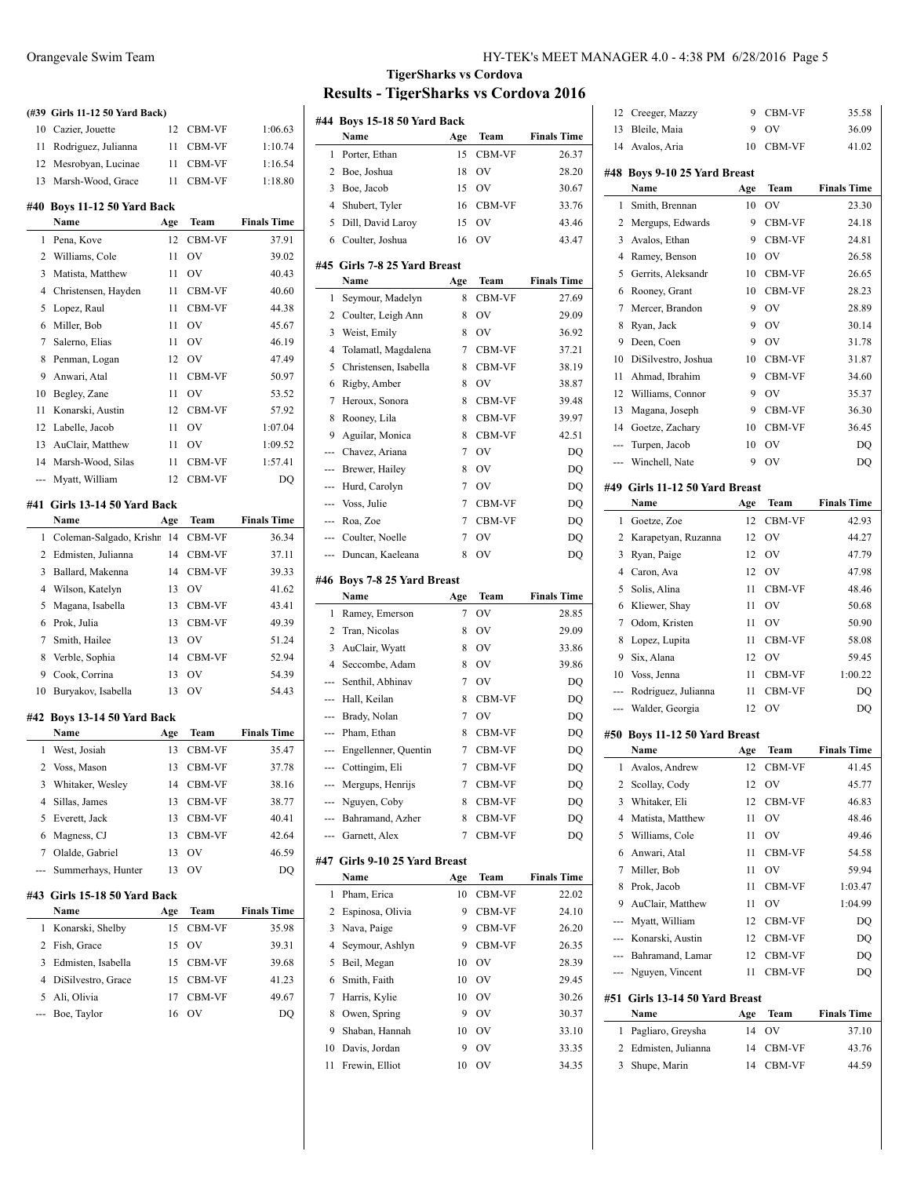# **(#39 Girls 11-12 50 Yard Back)** Cazier, Jouette 12 CBM-VF 1:06.63 Rodriguez, Julianna 11 CBM-VF 1:10.74 Mesrobyan, Lucinae 11 CBM-VF 1:16.54 Marsh-Wood, Grace 11 CBM-VF 1:18.80 **#40 Boys 11-12 50 Yard Back Name Age Team Finals Time** 1 Pena, Kove 12 CBM-VF 37.91 Williams, Cole 11 OV 39.02 Matista, Matthew 11 OV 40.43 4 Christensen, Hayden 11 CBM-VF 40.60 Lopez, Raul 11 CBM-VF 44.38 Miller, Bob 11 OV 45.67 Salerno, Elias 11 OV 46.19 8 Penman, Logan 12 OV 47.49 Anwari, Atal 11 CBM-VF 50.97 10 Begley, Zane 11 OV 53.52 Konarski, Austin 12 CBM-VF 57.92 Labelle, Jacob 11 OV 1:07.04 AuClair, Matthew 11 OV 1:09.52 Marsh-Wood, Silas 11 CBM-VF 1:57.41 --- Myatt, William 12 CBM-VF DQ **#41 Girls 13-14 50 Yard Back Name Age Team Finals Time** 1 Coleman-Salgado, Krishn 14 CBM-VF 36.34 Edmisten, Julianna 14 CBM-VF 37.11

| 3              | Ballard, Makenna              | 14  | <b>CBM-VF</b> | 39.33              |
|----------------|-------------------------------|-----|---------------|--------------------|
| 4              | Wilson, Katelyn               | 13  | OV            | 41.62              |
| 5              | Magana, Isabella              | 13  | <b>CBM-VF</b> | 43.41              |
| 6              | Prok. Julia                   | 13  | <b>CBM-VF</b> | 49.39              |
| 7              | Smith, Hailee                 | 13  | OV            | 51.24              |
| 8              | Verble, Sophia                | 14  | <b>CBM-VF</b> | 52.94              |
| 9              | Cook, Corrina                 | 13  | OV            | 54.39              |
| 10             | Buryakov, Isabella            | 13  | OV            | 54.43              |
|                | #42 Boys 13-14 50 Yard Back   |     |               |                    |
|                | Name                          |     | Team          | <b>Finals Time</b> |
|                |                               | Age |               |                    |
| $\mathbf{1}$   | West, Josiah                  | 13  | <b>CBM-VF</b> | 35.47              |
|                | 2 Voss, Mason                 | 13  | CBM-VF        | 37.78              |
| 3              | Whitaker, Wesley              | 14  | <b>CBM-VF</b> | 38.16              |
| $\overline{4}$ | Sillas, James                 | 13  | <b>CBM-VF</b> | 38.77              |
| 5              | Everett, Jack                 | 13  | <b>CBM-VF</b> | 40.41              |
| 6              | Magness, CJ                   | 13  | CBM-VF        | 42.64              |
| 7              | Olalde, Gabriel               | 13  | OV            | 46.59              |
|                | Summerhays, Hunter            | 13  | OV            | DQ                 |
|                | #43  Girls 15-18 50 Yard Back |     |               |                    |
|                | Name                          | Age | Team          | <b>Finals Time</b> |
| 1              | Konarski, Shelby              | 15  | <b>CBM-VF</b> | 35.98              |
| 2              | Fish, Grace                   | 15  | OV            | 39.31              |
|                |                               |     |               |                    |

| Name                 | Age | Team          | <b>Finals Time</b> |
|----------------------|-----|---------------|--------------------|
| 1 Konarski, Shelby   | 15. | CBM-VF        | 35.98              |
| 2 Fish, Grace        | 15  | OV            | 39.31              |
| 3 Edmisten, Isabella |     | 15 CBM-VF     | 39.68              |
| 4 DiSilvestro, Grace |     | 15 CBM-VF     | 41.23              |
| 5 Ali, Olivia        | 17  | <b>CBM-VF</b> | 49.67              |
| --- Boe, Taylor      | 16  | OV            | DO                 |
|                      |     |               |                    |

# **TigerSharks vs Cordova Results - TigerSharks vs Cordova 2016**

 $\overline{a}$ 

 $\overline{\phantom{a}}$ 

 $\overline{a}$ 

 $\overline{a}$ 

| #44            | Boys 15-18 50 Yard Back<br>Name | Age | Team   | <b>Finals Time</b> |
|----------------|---------------------------------|-----|--------|--------------------|
| 1              | Porter, Ethan                   | 15  | CBM-VF | 26.37              |
| 2              | Boe, Joshua                     | 18  | OV     | 28.20              |
| 3              | Boe, Jacob                      | 15  | OV     | 30.67              |
| 4              | Shubert, Tyler                  | 16  | CBM-VF | 33.76              |
| 5              | Dill, David Laroy               | 15  | OV     | 43.46              |
| 6              | Coulter, Joshua                 | 16  | OV     | 43.47              |
|                |                                 |     |        |                    |
|                | #45  Girls 7-8 25 Yard Breast   |     |        |                    |
|                | Name                            | Age | Team   | <b>Finals Time</b> |
| 1              | Seymour, Madelyn                | 8   | CBM-VF | 27.69              |
| 2              | Coulter, Leigh Ann              | 8   | OV     | 29.09              |
| 3              | Weist, Emily                    | 8   | OV     | 36.92              |
| 4              | Tolamatl, Magdalena             | 7   | CBM-VF | 37.21              |
| 5              | Christensen, Isabella           | 8   | CBM-VF | 38.19              |
| 6              | Rigby, Amber                    | 8   | OV     | 38.87              |
| 7              | Heroux, Sonora                  | 8   | CBM-VF | 39.48              |
| 8              | Rooney, Lila                    | 8   | CBM-VF | 39.97              |
| 9              | Aguilar, Monica                 | 8   | CBM-VF | 42.51              |
| ---            | Chavez, Ariana                  | 7   | OV     | DQ                 |
| ---            | Brewer, Hailey                  | 8   | OV     | DQ                 |
| ---            | Hurd, Carolyn                   | 7   | OV     | DQ                 |
| ---            | Voss, Julie                     | 7   | CBM-VF | DQ                 |
| ---            | Roa, Zoe                        | 7   | CBM-VF | DO                 |
| ---            | Coulter, Noelle                 | 7   | OV     | DQ                 |
| ---            | Duncan, Kaeleana                | 8   | OV     | DQ                 |
| #46            | <b>Boys 7-8 25 Yard Breast</b>  |     |        |                    |
|                | Name                            | Age | Team   | <b>Finals Time</b> |
|                |                                 |     |        |                    |
|                |                                 |     |        |                    |
| 1              | Ramey, Emerson                  | 7   | OV     | 28.85              |
| 2              | Tran, Nicolas                   | 8   | OV     | 29.09              |
| 3              | AuClair, Wyatt                  | 8   | OV     | 33.86              |
| $\overline{4}$ | Seccombe, Adam                  | 8   | OV     | 39.86              |
| ---            | Senthil, Abhinav                | 7   | OV     | DQ                 |
| ---            | Hall, Keilan                    | 8   | CBM-VF | DQ                 |
| ---            | Brady, Nolan                    | 7   | OV     | DQ                 |
| ---            | Pham, Ethan                     | 8   | CBM-VF | DQ                 |
| ---            | Engellenner, Quentin            | 7   | CBM-VF | DQ                 |
| ---            | Cottingim, Eli                  | 7   | CBM-VF | DQ                 |
| ---            | Mergups, Henrijs                | 7   | CBM-VF | DQ                 |
| ---            | Nguyen, Coby                    | 8   | CBM-VF | DQ                 |
| ---            | Bahramand, Azher                | 8   | CBM-VF | DQ                 |
| ---            | Garnett, Alex                   | 7   | CBM-VF | DQ                 |
| #47            | Girls 9-10 25 Yard Breast       |     |        |                    |
|                | Name                            | Age | Team   | <b>Finals Time</b> |
| 1              | Pham, Erica                     | 10  | CBM-VF | 22.02              |
| 2              | Espinosa, Olivia                | 9   | CBM-VF | 24.10              |
| 3              | Nava, Paige                     | 9   | CBM-VF | 26.20              |
| 4              | Seymour, Ashlyn                 | 9   | CBM-VF | 26.35              |
| 5              | Beil, Megan                     | 10  | OV     | 28.39              |
| 6              | Smith, Faith                    | 10  | OV     | 29.45              |
| 7              | Harris, Kylie                   | 10  | OV     | 30.26              |
| 8              | Owen, Spring                    | 9   | OV     | 30.37              |
| 9              | Shaban, Hannah                  | 10  | OV     | 33.10              |
| 10             | Davis, Jordan                   | 9   | OV     | 33.35              |

| 12  | Creeger, Mazzy                        | 9   | CBM-VF      | 35.58              |
|-----|---------------------------------------|-----|-------------|--------------------|
| 13  | Bleile, Maia                          | 9   | OV          | 36.09              |
|     | 14 Avalos, Aria                       | 10  | CBM-VF      | 41.02              |
|     |                                       |     |             |                    |
|     | #48 Boys 9-10 25 Yard Breast<br>Name  | Age | Team        | <b>Finals Time</b> |
| 1   | Smith, Brennan                        | 10  | OV          | 23.30              |
|     |                                       | 9   |             |                    |
| 2   | Mergups, Edwards                      |     | CBM-VF      | 24.18              |
| 3   | Avalos, Ethan                         | 9   | CBM-VF      | 24.81              |
| 4   | Ramey, Benson                         | 10  | OV          | 26.58              |
| 5   | Gerrits, Aleksandr                    | 10  | CBM-VF      | 26.65              |
| 6   | Rooney, Grant                         | 10  | CBM-VF      | 28.23              |
| 7   | Mercer, Brandon                       | 9   | OV          | 28.89              |
| 8   | Ryan, Jack                            | 9   | OV          | 30.14              |
| 9   | Deen, Coen                            | 9   | OV          | 31.78              |
| 10  | DiSilvestro, Joshua                   | 10  | CBM-VF      | 31.87              |
| 11  | Ahmad, Ibrahim                        | 9   | CBM-VF      | 34.60              |
| 12  | Williams, Connor                      | 9   | OV          | 35.37              |
| 13  | Magana, Joseph                        | 9   | CBM-VF      | 36.30              |
| 14  | Goetze, Zachary                       | 10  | CBM-VF      | 36.45              |
| --- | Turpen, Jacob                         | 10  | OV          | DQ                 |
| --- | Winchell, Nate                        | 9   | OV          | DQ                 |
|     |                                       |     |             |                    |
|     | #49 Girls 11-12 50 Yard Breast        |     |             |                    |
|     | Name                                  | Age | Team        | <b>Finals Time</b> |
| 1   | Goetze, Zoe                           | 12  | CBM-VF      | 42.93              |
| 2   | Karapetyan, Ruzanna                   | 12  | OV          | 44.27              |
| 3   | Ryan, Paige                           | 12  | OV          | 47.79              |
| 4   | Caron, Ava                            | 12  | OV          | 47.98              |
| 5   | Solis, Alina                          | 11  | CBM-VF      | 48.46              |
| 6   | Kliewer, Shay                         | 11  | OV          | 50.68              |
| 7   | Odom, Kristen                         | 11  | OV          | 50.90              |
| 8   | Lopez, Lupita                         | 11  | CBM-VF      | 58.08              |
| 9   | Six, Alana                            | 12  | OV          | 59.45              |
| 10  | Voss, Jenna                           | 11  | CBM-VF      | 1:00.22            |
| --- | Rodriguez, Julianna                   | 11  | CBM-VF      | DQ                 |
| --- | Walder, Georgia                       | 12  | OV          | DQ                 |
|     |                                       |     |             |                    |
|     | #50 Boys 11-12 50 Yard Breast<br>Name |     | Team        | <b>Finals Time</b> |
|     |                                       | Age | CBM-VF      |                    |
| 1   | Avalos, Andrew                        | 12  |             | 41.45              |
| 2   | Scollay, Cody                         | 12  | OV          | 45.77              |
| 3   | Whitaker, Eli                         | 12  | CBM-VF      | 46.83              |
| 4   | Matista, Matthew                      | 11  | $\hbox{OV}$ | 48.46              |
| 5   | Williams, Cole                        | 11  | OV          | 49.46              |
| 6   | Anwari, Atal                          | 11  | CBM-VF      | 54.58              |
| 7   | Miller, Bob                           | 11  | OV          | 59.94              |
| 8   | Prok, Jacob                           | 11  | CBM-VF      | 1:03.47            |
| 9   | AuClair, Matthew                      | 11  | OV          | 1:04.99            |
| --- | Myatt, William                        | 12  | CBM-VF      | DO                 |
|     | --- Konarski, Austin                  | 12  | CBM-VF      | DQ                 |
|     | --- Bahramand, Lamar                  | 12  | CBM-VF      | DO                 |
|     | --- Nguyen, Vincent                   | 11  | CBM-VF      | DQ                 |
|     |                                       |     |             |                    |
| #51 | Girls 13-14 50 Yard Breast            |     |             |                    |
|     | Name                                  | Age | Team        | <b>Finals Time</b> |
| 1   | Pagliaro, Greysha                     | 14  | OV          | 37.10              |
|     | 2 Edmisten, Julianna                  | 14  | CBM-VF      | 43.76              |
| 3   | Shupe, Marin                          | 14  | CBM-VF      | 44.59              |
|     |                                       |     |             |                    |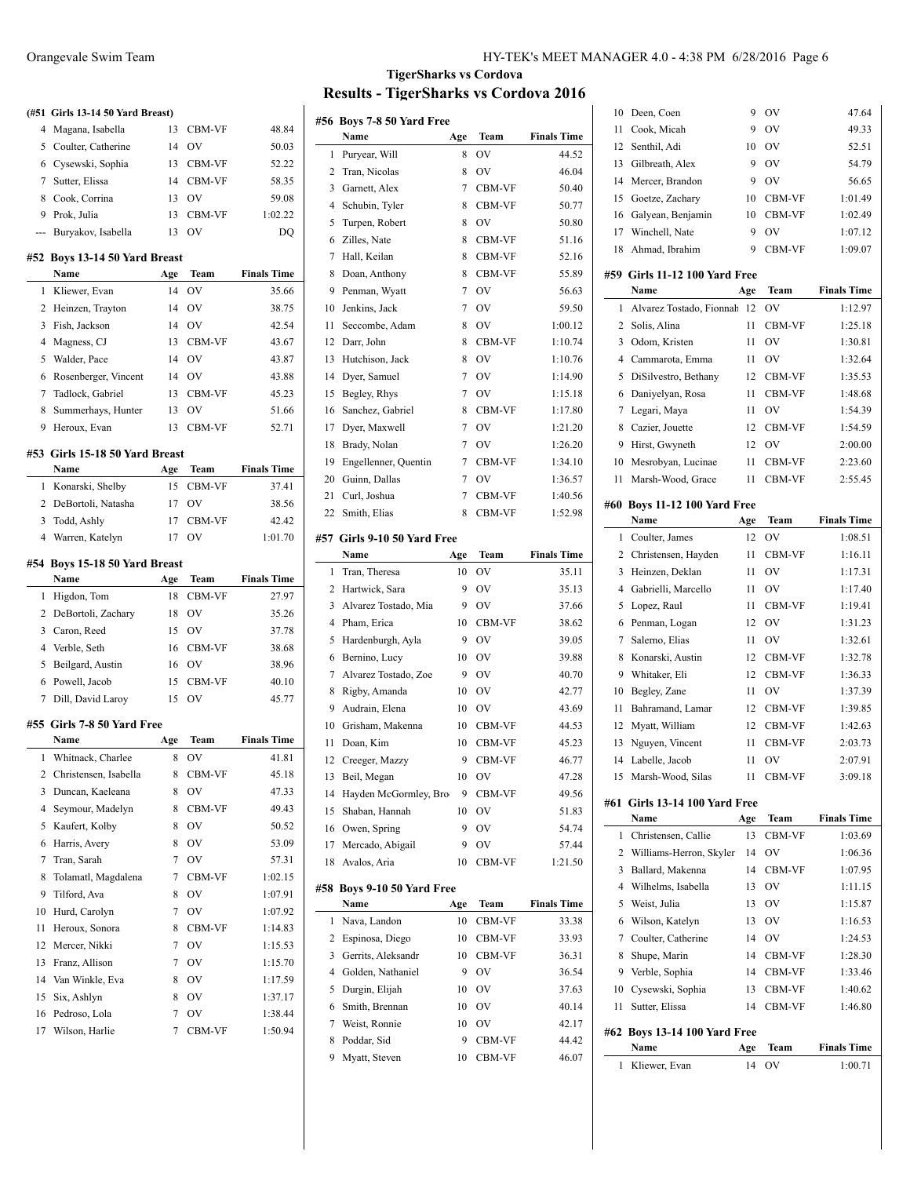|                | (#51 Girls 13-14 50 Yard Breast)      |           |                     |                    |
|----------------|---------------------------------------|-----------|---------------------|--------------------|
| 4              | Magana, Isabella                      | 13        | <b>CBM-VF</b>       | 48.84              |
| 5              | Coulter, Catherine                    | 14        | OV                  | 50.03              |
| 6              | Cysewski, Sophia                      | 13        | CBM-VF              | 52.22              |
| 7              | Sutter, Elissa                        | 14        | CBM-VF              | 58.35              |
| 8              | Cook, Corrina                         | 13        | OV                  | 59.08              |
| 9              | Prok, Julia                           | 13        | CBM-VF              | 1:02.22            |
| ---            | Buryakov, Isabella                    | 13        | OV                  | DQ                 |
|                |                                       |           |                     |                    |
|                | #52 Boys 13-14 50 Yard Breast<br>Name | Age       | Team                | <b>Finals Time</b> |
| 1              | Kliewer, Evan                         | 14        | OV                  | 35.66              |
| 2              | Heinzen, Trayton                      | 14        | OV                  | 38.75              |
| 3              | Fish, Jackson                         | 14        | OV                  | 42.54              |
| 4              |                                       |           |                     |                    |
|                | Magness, CJ                           | 13        | <b>CBM-VF</b>       | 43.67              |
| 5              | Walder, Pace                          | 14        | OV                  | 43.87              |
| 6              | Rosenberger, Vincent                  | 14        | OV                  | 43.88              |
| 7              | Tadlock, Gabriel                      | 13        | CBM-VF              | 45.23              |
| 8              | Summerhays, Hunter                    | 13        | OV                  | 51.66              |
| 9              | Heroux, Evan                          | 13        | CBM-VF              | 52.71              |
|                | #53 Girls 15-18 50 Yard Breast        |           |                     |                    |
|                | Name                                  | Age       | Team                | <b>Finals Time</b> |
| 1              | Konarski, Shelby                      | 15        | CBM-VF              | 37.41              |
| 2              | DeBortoli, Natasha                    | 17        | OV                  | 38.56              |
| 3              | Todd, Ashly                           | 17        | CBM-VF              | 42.42              |
| $\overline{4}$ | Warren, Katelyn                       | 17        | OV                  | 1:01.70            |
|                | #54 Boys 15-18 50 Yard Breast         |           |                     |                    |
|                |                                       |           |                     |                    |
|                | Name                                  |           | Team                | <b>Finals Time</b> |
| 1              |                                       | Age<br>18 | CBM-VF              |                    |
| $\mathbf{2}$   | Higdon, Tom<br>DeBortoli, Zachary     | 18        | OV                  | 27.97<br>35.26     |
| 3              |                                       | 15        |                     |                    |
|                | Caron, Reed                           |           | OV                  | 37.78              |
| 4              | Verble, Seth                          | 16        | CBM-VF              | 38.68              |
| 5              | Beilgard, Austin                      | 16        | OV                  | 38.96              |
| 6<br>7         | Powell, Jacob                         | 15<br>15  | <b>CBM-VF</b><br>OV | 40.10<br>45.77     |
|                | Dill, David Laroy                     |           |                     |                    |
|                | #55 Girls 7-8 50 Yard Free            |           |                     |                    |
|                | Name                                  | Age       | Team                | <b>Finals Time</b> |
| 1              | Whitnack, Charlee                     | 8         | ov                  | 41.81              |
| 2              | Christensen, Isabella                 | 8         | CBM-VF              | 45.18              |
| 3              | Duncan, Kaeleana                      | 8         | OV                  | 47.33              |
| 4              | Seymour, Madelyn                      | 8         | CBM-VF              | 49.43              |
| 5              | Kaufert, Kolby                        | 8         | OV                  | 50.52              |
| 6              | Harris, Avery                         | 8         | OV                  | 53.09              |
| 7              | Tran, Sarah                           | 7         | OV                  | 57.31              |
| 8              | Tolamatl, Magdalena                   | 7         | CBM-VF              | 1:02.15            |
| 9              | Tilford, Ava                          | 8         | OV                  | 1:07.91            |
| 10             | Hurd, Carolyn                         | 7         | OV                  | 1:07.92            |
| 11             | Heroux, Sonora                        | 8         | CBM-VF              | 1:14.83            |
| 12             | Mercer, Nikki                         | 7         | OV                  | 1:15.53            |
| 13             | Franz, Allison                        | 7         | OV                  | 1:15.70            |
| 14             | Van Winkle, Eva                       | 8         | OV                  | 1:17.59            |
| 15             | Six, Ashlyn                           | 8         | OV                  | 1:37.17            |
| 16             | Pedroso, Lola<br>Wilson, Harlie       | 7<br>7    | OV<br>CBM-VF        | 1:38.44<br>1:50.94 |

# **TigerSharks vs Cordova Results - TigerSharks vs Cordova 2016**

 $\overline{a}$ 

 $\overline{a}$ 

|     | #56 Boys 7-8 50 Yard Free           |     |               |                    |
|-----|-------------------------------------|-----|---------------|--------------------|
|     | Name                                | Age | Team          | <b>Finals Time</b> |
| 1   | Puryear, Will                       | 8   | OV            | 44.52              |
| 2   | Tran, Nicolas                       | 8   | OV            | 46.04              |
| 3   | Garnett, Alex                       | 7   | CBM-VF        | 50.40              |
| 4   | Schubin, Tyler                      | 8   | CBM-VF        | 50.77              |
| 5   | Turpen, Robert                      | 8   | OV            | 50.80              |
| 6   | Zilles, Nate                        | 8   | CBM-VF        | 51.16              |
| 7   | Hall, Keilan                        | 8   | CBM-VF        | 52.16              |
| 8   | Doan, Anthony                       | 8   | CBM-VF        | 55.89              |
| 9   | Penman, Wyatt                       | 7   | OV            | 56.63              |
| 10  | Jenkins, Jack                       | 7   | OV            | 59.50              |
| 11  | Seccombe, Adam                      | 8   | OV            | 1:00.12            |
| 12  | Darr, John                          | 8   | CBM-VF        | 1:10.74            |
| 13  | Hutchison, Jack                     | 8   | OV            | 1:10.76            |
| 14  | Dyer, Samuel                        | 7   | OV            | 1:14.90            |
| 15  | Begley, Rhys                        | 7   | OV            | 1:15.18            |
| 16  | Sanchez, Gabriel                    | 8   | CBM-VF        | 1:17.80            |
| 17  | Dyer, Maxwell                       | 7   | OV            | 1:21.20            |
| 18  | Brady, Nolan                        | 7   | OV            | 1:26.20            |
| 19  | Engellenner, Quentin                | 7   | CBM-VF        | 1:34.10            |
| 20  | Guinn, Dallas                       | 7   | OV            | 1:36.57            |
| 21  | Curl, Joshua                        | 7   | CBM-VF        | 1:40.56            |
| 22  | Smith, Elias                        | 8   | <b>CBM-VF</b> | 1:52.98            |
|     |                                     |     |               |                    |
|     | #57 Girls 9-10 50 Yard Free<br>Name | Age | Team          | <b>Finals Time</b> |
| 1   | Tran, Theresa                       | 10  | OV            | 35.11              |
| 2   | Hartwick, Sara                      | 9   | OV            | 35.13              |
| 3   | Alvarez Tostado, Mia                | 9   | OV            | 37.66              |
| 4   |                                     |     |               |                    |
|     | Pham, Erica                         | 10  | CBM-VF        | 38.62              |
| 5   | Hardenburgh, Ayla                   | 9   | OV            | 39.05              |
| 6   | Bernino, Lucy                       | 10  | OV            | 39.88              |
| 7   | Alvarez Tostado, Zoe                | 9   | OV            | 40.70              |
| 8   | Rigby, Amanda                       | 10  | OV            | 42.77              |
| 9   | Audrain, Elena                      | 10  | OV            | 43.69              |
| 10  | Grisham, Makenna                    | 10  | CBM-VF        | 44.53              |
| 11  | Doan, Kim                           | 10  | CBM-VF        | 45.23              |
| 12  | Creeger, Mazzy                      | 9   | CBM-VF        | 46.77              |
| 13  | Beil, Megan                         | 10  | OV            | 47.28              |
| 14  | Hayden McGormley, Bro-              | 9   | CBM-VF        | 49.56              |
| 15  | Shaban, Hannah                      | 10  | OV            | 51.83              |
| 16  | Owen, Spring                        | 9   | OV            | 54.74              |
| 17  | Mercado, Abigail                    | 9   | OV            | 57.44              |
| 18  | Avalos, Aria                        | 10  | CBM-VF        | 1:21.50            |
| #58 | Boys 9-10 50 Yard Free              |     |               |                    |
|     | Name                                | Age | Team          | <b>Finals Time</b> |
| 1   | Nava, Landon                        | 10  | CBM-VF        | 33.38              |
| 2   | Espinosa, Diego                     | 10  | CBM-VF        | 33.93              |
| 3   | Gerrits, Aleksandr                  | 10  | CBM-VF        | 36.31              |
| 4   | Golden, Nathaniel                   | 9   | OV            | 36.54              |
| 5   | Durgin, Elijah                      | 10  | OV            | 37.63              |
| 6   | Smith, Brennan                      | 10  | OV            | 40.14              |
| 7   | Weist, Ronnie                       | 10  | OV            | 42.17              |
| 8   | Poddar, Sid                         | 9   | CBM-VF        | 44.42              |
| 9   | Myatt, Steven                       | 10  | CBM-VF        | 46.07              |

| 10  | Deen, Coen                       | 9         | OV         | 47.64                         |
|-----|----------------------------------|-----------|------------|-------------------------------|
| 11  | Cook, Micah                      | 9         | OV         | 49.33                         |
| 12  | Senthil, Adi                     | 10        | OV         | 52.51                         |
| 13  | Gilbreath, Alex                  | 9         | OV         | 54.79                         |
| 14  | Mercer, Brandon                  | 9         | OV         | 56.65                         |
| 15  | Goetze, Zachary                  | 10        | CBM-VF     | 1:01.49                       |
| 16  | Galyean, Benjamin                | 10        | CBM-VF     | 1:02.49                       |
| 17  | Winchell, Nate                   | 9         | OV         | 1:07.12                       |
| 18  | Ahmad, Ibrahim                   | 9         | CBM-VF     | 1:09.07                       |
|     |                                  |           |            |                               |
|     | #59 Girls 11-12 100 Yard Free    |           |            |                               |
|     | Name<br>Alvarez Tostado, Fionnah | Age       | Team       | <b>Finals Time</b>            |
| 1   |                                  | 12        | OV         | 1:12.97                       |
| 2   | Solis, Alina                     | 11        | CBM-VF     | 1:25.18                       |
| 3   | Odom, Kristen                    | 11        | OV         | 1:30.81                       |
| 4   | Cammarota, Emma                  | 11        | OV         | 1:32.64                       |
| 5   | DiSilvestro, Bethany             | 12        | CBM-VF     | 1:35.53                       |
| 6   | Daniyelyan, Rosa                 | 11        | CBM-VF     | 1:48.68                       |
| 7   | Legari, Maya                     | 11        | OV         | 1:54.39                       |
| 8   | Cazier, Jouette                  | 12        | CBM-VF     | 1:54.59                       |
| 9   | Hirst, Gwyneth                   | 12        | OV         | 2:00.00                       |
| 10  | Mesrobyan, Lucinae               | 11        | CBM-VF     | 2:23.60                       |
| 11  | Marsh-Wood, Grace                | 11        | CBM-VF     | 2:55.45                       |
|     | #60 Boys 11-12 100 Yard Free     |           |            |                               |
|     | Name                             | Age       | Team       | <b>Finals Time</b>            |
| 1   | Coulter, James                   | 12        | OV         | 1:08.51                       |
| 2   | Christensen, Hayden              | 11        | CBM-VF     | 1:16.11                       |
| 3   | Heinzen, Deklan                  | 11        | OV         | 1:17.31                       |
| 4   | Gabrielli, Marcello              | 11        | OV         | 1:17.40                       |
|     |                                  |           |            |                               |
| 5   | Lopez, Raul                      | 11        | CBM-VF     | 1:19.41                       |
| 6   | Penman, Logan                    | 12        | OV         | 1:31.23                       |
| 7   | Salerno, Elias                   | 11        | OV         | 1:32.61                       |
| 8   | Konarski, Austin                 | 12        | CBM-VF     | 1:32.78                       |
| 9   | Whitaker, Eli                    | 12        | CBM-VF     | 1:36.33                       |
| 10  | Begley, Zane                     | 11        | OV         | 1:37.39                       |
| 11  | Bahramand, Lamar                 | 12        | CBM-VF     | 1:39.85                       |
| 12  | Myatt, William                   | 12        | CBM-VF     | 1:42.63                       |
| 13  | Nguyen, Vincent                  | 11        | CBM-VF     | 2:03.73                       |
| 14  | Labelle, Jacob                   | 11        | OV         | 2:07.91                       |
| 15  | Marsh-Wood, Silas                | 11        | CBM-VF     | 3:09.18                       |
| #61 | Girls 13-14 100 Yard Free        |           |            |                               |
|     | Name                             | Age       | Team       | <b>Finals Time</b>            |
| 1   | Christensen, Callie              | 13        | CBM-VF     | 1:03.69                       |
| 2   | Williams-Herron, Skyler          | 14        | OV         | 1:06.36                       |
| 3   | Ballard, Makenna                 | 14        | CBM-VF     | 1:07.95                       |
| 4   | Wilhelms, Isabella               | 13        | OV         | 1:11.15                       |
| 5   | Weist, Julia                     | 13        | OV         | 1:15.87                       |
| 6   | Wilson, Katelyn                  | 13        | OV         | 1:16.53                       |
| 7   | Coulter, Catherine               | 14        | OV         | 1:24.53                       |
| 8   | Shupe, Marin                     | 14        | CBM-VF     | 1:28.30                       |
| 9   | Verble, Sophia                   | 14        | CBM-VF     | 1:33.46                       |
| 10  | Cysewski, Sophia                 | 13        | CBM-VF     | 1:40.62                       |
| 11  | Sutter, Elissa                   | 14        | CBM-VF     | 1:46.80                       |
|     |                                  |           |            |                               |
|     | #62 Boys 13-14 100 Yard Free     |           |            |                               |
| 1   | Name<br>Kliewer, Evan            | Age<br>14 | Team<br>OV | <b>Finals Time</b><br>1:00.71 |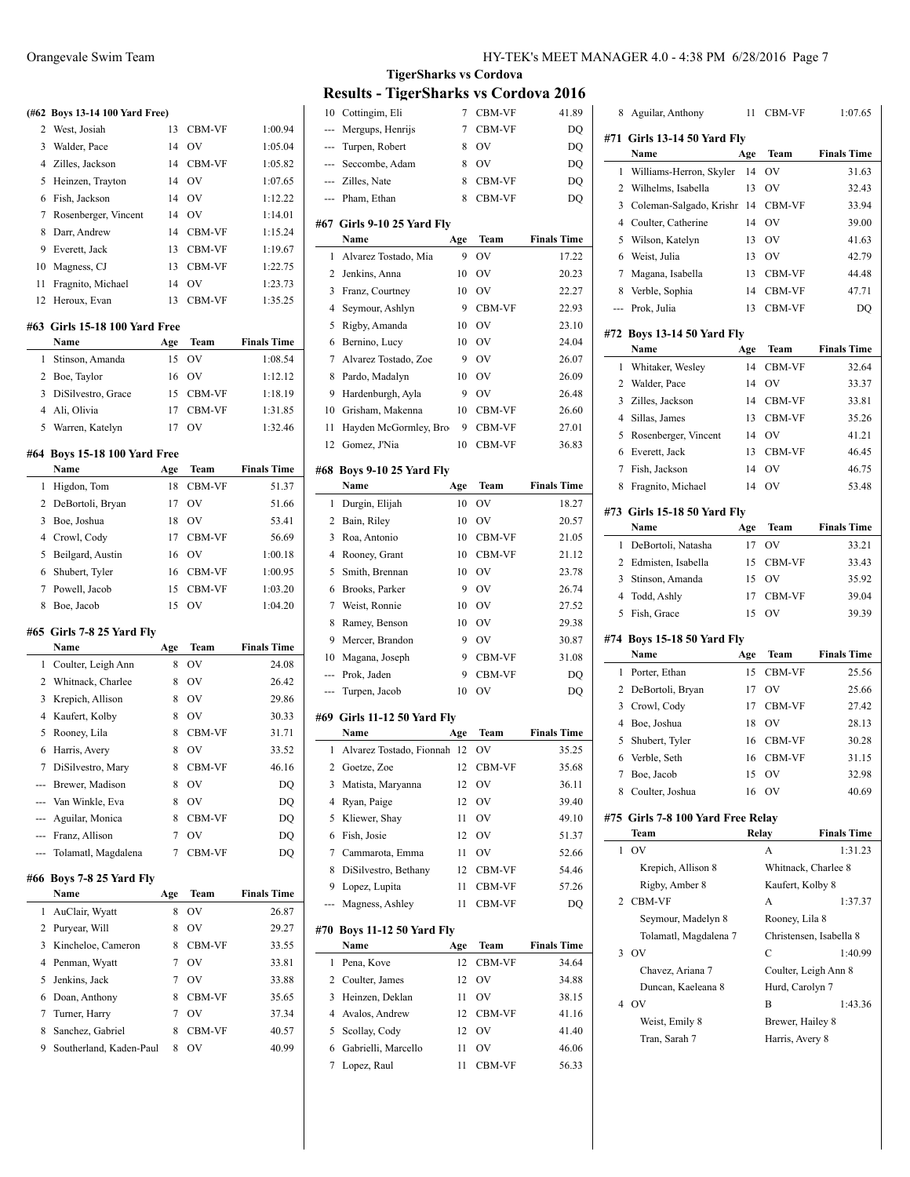**(#62 Boys 13-14 100 Yard Free)** 2 West, Josiah 13 CBM-VF 1:00.94 3 Walder, Pace 14 OV 1:05.04 4 Zilles, Jackson 14 CBM-VF 1:05.82 5 Heinzen, Trayton 14 OV 1:07.65 6 Fish, Jackson 14 OV 1:12.22 7 Rosenberger, Vincent 14 OV 1:14.01 8 Darr, Andrew 14 CBM-VF 1:15.24 9 Everett, Jack 13 CBM-VF 1:19.67 10 Magness, CJ 13 CBM-VF 1:22.75 11 Fragnito, Michael 14 OV 1:23.73 12 Heroux, Evan 13 CBM-VF 1:35.25 **#63 Girls 15-18 100 Yard Free Name Age Team Finals Time** 1 Stinson, Amanda 15 OV 1:08.54 2 Boe, Taylor 16 OV 1:12.12 3 DiSilvestro, Grace 15 CBM-VF 1:18.19 4 Ali, Olivia 17 CBM-VF 1:31.85 5 Warren, Katelyn 17 OV 1:32.46 **#64 Boys 15-18 100 Yard Free Name Age Team Finals Time** 1 Higdon, Tom 18 CBM-VF 51.37 2 DeBortoli, Bryan 17 OV 51.66 3 Boe, Joshua 18 OV 53.41 4 Crowl, Cody 17 CBM-VF 56.69 5 Beilgard, Austin 16 OV 1:00.18 6 Shubert, Tyler 16 CBM-VF 1:00.95 7 Powell, Jacob 15 CBM-VF 1:03.20 8 Boe, Jacob 15 OV 1:04.20 **#65 Girls 7-8 25 Yard Fly Name Age Team Finals Time** 1 Coulter, Leigh Ann 8 OV 24.08 2 Whitnack, Charlee 8 OV 26.42 3 Krepich, Allison 8 OV 29.86 4 Kaufert, Kolby 8 OV 30.33 5 Rooney, Lila 8 CBM-VF 31.71 6 Harris, Avery 8 OV 33.52 7 DiSilvestro, Mary 8 CBM-VF 46.16 Brewer, Madison 8 OV DQ --- Van Winkle, Eva 8 OV DO --- Aguilar, Monica 8 CBM-VF DQ --- Franz, Allison 7 OV DQ --- Tolamatl, Magdalena 7 CBM-VF DQ **#66 Boys 7-8 25 Yard Fly Name Age Team Finals Time** 1 AuClair, Wyatt 8 OV 26.87 2 Puryear, Will 8 OV 29.27 3 Kincheloe, Cameron 8 CBM-VF 33.55 4 Penman, Wyatt 7 OV 33.81 5 Jenkins, Jack 7 OV 33.88

6 Doan, Anthony 8 CBM-VF 35.65 7 Turner, Harry 2 0V 37.34 8 Sanchez, Gabriel 8 CBM-VF 40.57 9 Southerland, Kaden-Paul 8 OV 40.99

# **TigerSharks vs Cordova Results - TigerSharks vs Cordova 2016**

| 10     | Cottingim, Eli                     | 7        | CBM-VF           | 41.89              |
|--------|------------------------------------|----------|------------------|--------------------|
| ---    | Mergups, Henrijs                   | 7        | CBM-VF           | DQ                 |
| ---    | Turpen, Robert                     | 8        | OV               | DQ                 |
| ---    | Seccombe, Adam                     | 8        | OV               | DO                 |
|        | --- Zilles, Nate                   | 8        | CBM-VF           | DQ                 |
| ---    | Pham, Ethan                        | 8        | CBM-VF           | DQ                 |
|        |                                    |          |                  |                    |
|        | #67  Girls 9-10 25 Yard Fly        |          |                  |                    |
|        | Name                               | Age      | Team             | <b>Finals Time</b> |
| 1      | Alvarez Tostado, Mia               | 9        | OV               | 17.22              |
| 2      | Jenkins, Anna                      | 10       | OV               | 20.23              |
| 3      | Franz, Courtney                    | 10       | OV               | 22.27              |
| 4      | Seymour, Ashlyn                    | 9        | CBM-VF           | 22.93              |
| 5      | Rigby, Amanda                      | 10       | OV               | 23.10              |
| 6      | Bernino, Lucy                      | 10       | OV               | 24.04              |
| 7      | Alvarez Tostado, Zoe               | 9        | <b>OV</b>        | 26.07              |
| 8      | Pardo, Madalyn                     | 10       | OV               | 26.09              |
| 9      | Hardenburgh, Ayla                  | 9        | OV               | 26.48              |
| 10     | Grisham, Makenna                   | 10       | CBM-VF           | 26.60              |
| 11     | Hayden McGormley, Bro-             | 9        | CBM-VF           | 27.01              |
| 12     | Gomez, J'Nia                       | 10       | CBM-VF           | 36.83              |
| #68    | <b>Boys 9-10 25 Yard Fly</b>       |          |                  |                    |
|        | Name                               | Age      | Team             | <b>Finals Time</b> |
| 1      | Durgin, Elijah                     | 10       | OV               | 18.27              |
| 2      | Bain, Riley                        | 10       | OV               | 20.57              |
| 3      | Roa, Antonio                       | 10       | CBM-VF           | 21.05              |
| 4      |                                    |          |                  |                    |
|        | Rooney, Grant                      | 10       | CBM-VF           | 21.12              |
| 5      | Smith, Brennan                     | 10       | OV               | 23.78              |
|        |                                    |          |                  |                    |
| 6      | Brooks, Parker                     | 9        | OV               | 26.74              |
| 7      | Weist, Ronnie                      | 10       | <b>OV</b>        | 27.52              |
| 8      | Ramey, Benson                      | 10       | OV               | 29.38              |
| 9      | Mercer, Brandon                    | 9        | OV               | 30.87              |
| 10     | Magana, Joseph                     | 9        | CBM-VF           | 31.08              |
| ---    | Prok, Jaden                        | 9        | CBM-VF           | DQ                 |
| ---    | Turpen, Jacob                      | 10       | OV               | DQ                 |
|        | #69   Girls 11-12 50 Yard Fly      |          |                  |                    |
|        | Name                               | Age      | Team             | <b>Finals Time</b> |
| 1      | Alvarez Tostado, Fionnah           | 12       | OV               | 35.25              |
| 2      | Goetze, Zoe                        | 12       | CBM-VF           | 35.68              |
| 3      | Matista, Maryanna                  | 12       | OV               | 36.11              |
| 4      | Ryan, Paige                        | 12       | OV               | 39.40              |
| 5      | Kliewer, Shay                      | 11       | OV               | 49.10              |
| 6      | Fish, Josie                        | 12       | OV               | 51.37              |
| 7      | Cammarota, Emma                    | 11       | OV               | 52.66              |
| 8      | DiSilvestro, Bethany               | 12       |                  | 54.46              |
| 9      |                                    | 11       | CBM-VF           |                    |
| ---    | Lopez, Lupita<br>Magness, Ashley   | 11       | CBM-VF<br>CBM-VF | 57.26<br>DO        |
|        |                                    |          |                  |                    |
| #70    | <b>Boys 11-12 50 Yard Fly</b>      |          |                  |                    |
|        | Name                               | Age      | Team             | <b>Finals Time</b> |
| 1      | Pena, Kove                         | 12       | CBM-VF           | 34.64              |
| 2      | Coulter, James                     | 12       | OV               | 34.88              |
| 3      | Heinzen, Deklan                    | 11       | OV               | 38.15              |
| 4      | Avalos, Andrew                     | 12       | CBM-VF           | 41.16              |
| 5      | Scollay, Cody                      | 12       | OV               | 41.40              |
| 6<br>7 | Gabrielli, Marcello<br>Lopez, Raul | 11<br>11 | OV<br>CBM-VF     | 46.06<br>56.33     |

| 8           | Aguilar, Anthony                   | 11       | CBM-VF               | 1:07.65                 |
|-------------|------------------------------------|----------|----------------------|-------------------------|
|             | #71 Girls 13-14 50 Yard Fly        |          |                      |                         |
|             | Name                               | Age      | Team                 | <b>Finals Time</b>      |
| 1           | Williams-Herron, Skyler            | 14       | OV                   | 31.63                   |
| 2           | Wilhelms, Isabella                 | 13       | OV                   | 32.43                   |
| 3           | Coleman-Salgado, Krishr            | 14       | CBM-VF               | 33.94                   |
| 4           | Coulter, Catherine                 | 14       | OV                   | 39.00                   |
| 5           | Wilson, Katelyn                    | 13       | OV                   | 41.63                   |
| 6           | Weist, Julia                       | 13       | OV                   | 42.79                   |
| 7           | Magana, Isabella                   | 13       | CBM-VF               | 44.48                   |
| 8           | Verble, Sophia                     | 14       | CBM-VF               | 47.71                   |
| ---         | Prok, Julia                        | 13       | CBM-VF               | DQ                      |
|             |                                    |          |                      |                         |
|             | #72 Boys 13-14 50 Yard Fly         |          |                      |                         |
|             | Name                               | Age      | Team                 | <b>Finals Time</b>      |
| 1           | Whitaker, Wesley                   | 14       | CBM-VF               | 32.64                   |
| 2           | Walder, Pace                       | 14       | OV                   | 33.37                   |
| 3           | Zilles, Jackson                    | 14       | CBM-VF               | 33.81                   |
| 4           | Sillas, James                      | 13       | CBM-VF               | 35.26                   |
| 5           | Rosenberger, Vincent               | 14       | OV                   | 41.21                   |
| 6           | Everett, Jack                      | 13       | CBM-VF               | 46.45                   |
| 7           | Fish, Jackson                      | 14       | OV                   | 46.75                   |
| 8           | Fragnito, Michael                  | 14       | OV                   | 53.48                   |
|             | #73 Girls 15-18 50 Yard Fly        |          |                      |                         |
|             | Name                               | Age      | Team                 | <b>Finals Time</b>      |
| 1           | DeBortoli, Natasha                 | 17       | OV                   | 33.21                   |
| 2           | Edmisten, Isabella                 | 15       | CBM-VF               | 33.43                   |
| 3           | Stinson, Amanda                    | 15       | OV                   | 35.92                   |
| 4           | Todd, Ashly                        | 17       | CBM-VF               | 39.04                   |
| 5           | Fish, Grace                        | 15       | OV                   | 39.39                   |
|             |                                    |          |                      |                         |
|             | #74 Boys 15-18 50 Yard Fly<br>Name | Age      | Team                 | <b>Finals Time</b>      |
| 1           | Porter, Ethan                      | 15       | CBM-VF               | 25.56                   |
| 2           | DeBortoli, Bryan                   | 17       | OV                   | 25.66                   |
| 3           |                                    |          | CBM-VF               |                         |
| 4           | Crowl, Cody                        | 17       |                      | 27.42                   |
| 5           | Boe, Joshua                        | 18<br>16 | OV<br>CBM-VF         | 28.13<br>30.28          |
|             | Shubert, Tyler                     |          |                      |                         |
| 6<br>$\tau$ | Verble, Seth                       | 16       | CBM-VF               | 31.15                   |
|             | Boe, Jacob                         | 15       | OV                   | 32.98                   |
| 8           | Coulter, Joshua                    | 16       | - OV                 | 40.69                   |
|             | #75 Girls 7-8 100 Yard Free Relay  |          |                      |                         |
|             | Team                               |          | Relay                | <b>Finals Time</b>      |
| 1           | OV                                 |          | А                    | 1:31.23                 |
|             |                                    |          |                      |                         |
|             | Krepich, Allison 8                 |          | Whitnack, Charlee 8  |                         |
|             | Rigby, Amber 8                     |          | Kaufert, Kolby 8     |                         |
| 2           | <b>CBM-VF</b>                      |          | A                    | 1:37.37                 |
|             | Seymour, Madelyn 8                 |          | Rooney, Lila 8       |                         |
|             | Tolamatl, Magdalena 7              |          |                      | Christensen, Isabella 8 |
| 3           | <b>OV</b>                          |          | С                    | 1:40.99                 |
|             | Chavez, Ariana 7                   |          |                      |                         |
|             |                                    |          | Coulter, Leigh Ann 8 |                         |
|             | Duncan, Kaeleana 8<br>4 OV         |          | Hurd, Carolyn 7<br>B |                         |
|             |                                    |          |                      | 1:43.36                 |
|             | Weist, Emily 8                     |          | Brewer, Hailey 8     |                         |
|             | Tran, Sarah 7                      |          | Harris, Avery 8      |                         |